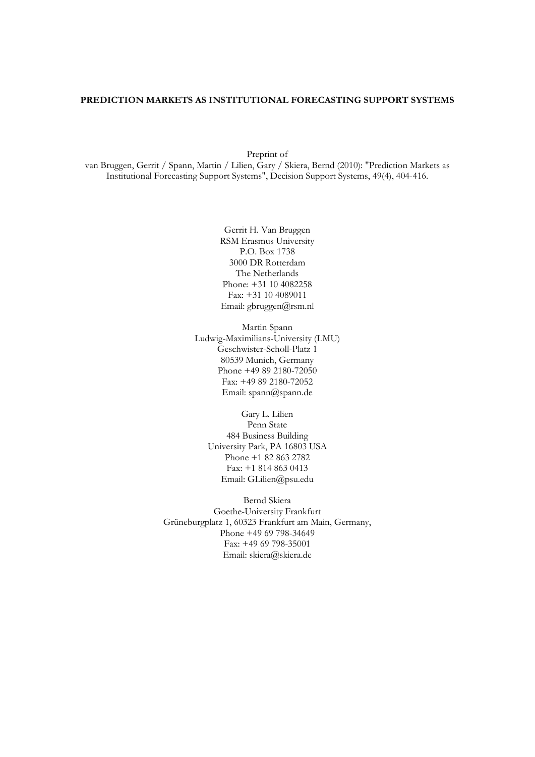# **PREDICTION MARKETS AS INSTITUTIONAL FORECASTING SUPPORT SYSTEMS**

Preprint of

van Bruggen, Gerrit / Spann, Martin / Lilien, Gary / Skiera, Bernd (2010): "Prediction Markets as Institutional Forecasting Support Systems", Decision Support Systems, 49(4), 404-416.

> Gerrit H. Van Bruggen RSM Erasmus University P.O. Box 1738 3000 DR Rotterdam The Netherlands Phone: +31 10 4082258 Fax: +31 10 4089011 Email: gbruggen@rsm.nl

Martin Spann Ludwig-Maximilians-University (LMU) Geschwister-Scholl-Platz 1 80539 Munich, Germany Phone +49 89 2180-72050 Fax: +49 89 2180-72052 Email: spann@spann.de

Gary L. Lilien Penn State 484 Business Building University Park, PA 16803 USA Phone +1 82 863 2782 Fax: +1 814 863 0413 Email: GLilien@psu.edu

Bernd Skiera Goethe-University Frankfurt Grüneburgplatz 1, 60323 Frankfurt am Main, Germany, Phone +49 69 798-34649 Fax: +49 69 798-35001 Email: skiera@skiera.de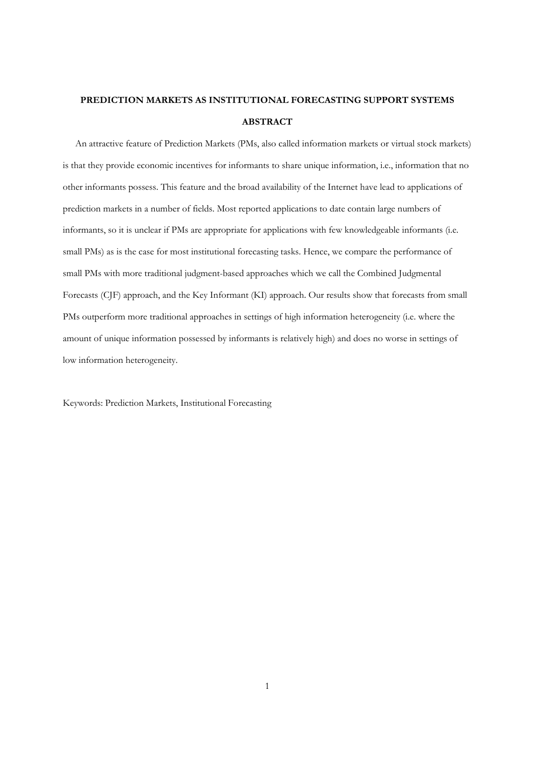# **PREDICTION MARKETS AS INSTITUTIONAL FORECASTING SUPPORT SYSTEMS ABSTRACT**

An attractive feature of Prediction Markets (PMs, also called information markets or virtual stock markets) is that they provide economic incentives for informants to share unique information, i.e., information that no other informants possess. This feature and the broad availability of the Internet have lead to applications of prediction markets in a number of fields. Most reported applications to date contain large numbers of informants, so it is unclear if PMs are appropriate for applications with few knowledgeable informants (i.e. small PMs) as is the case for most institutional forecasting tasks. Hence, we compare the performance of small PMs with more traditional judgment-based approaches which we call the Combined Judgmental Forecasts (CJF) approach, and the Key Informant (KI) approach. Our results show that forecasts from small PMs outperform more traditional approaches in settings of high information heterogeneity (i.e. where the amount of unique information possessed by informants is relatively high) and does no worse in settings of low information heterogeneity.

Keywords: Prediction Markets, Institutional Forecasting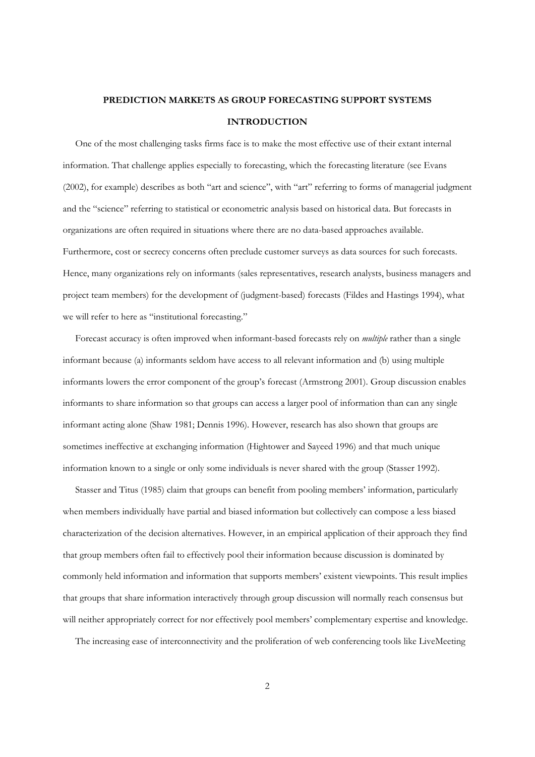# **PREDICTION MARKETS AS GROUP FORECASTING SUPPORT SYSTEMS INTRODUCTION**

One of the most challenging tasks firms face is to make the most effective use of their extant internal information. That challenge applies especially to forecasting, which the forecasting literature (see Evans (2002), for example) describes as both "art and science", with "art" referring to forms of managerial judgment and the "science" referring to statistical or econometric analysis based on historical data. But forecasts in organizations are often required in situations where there are no data-based approaches available. Furthermore, cost or secrecy concerns often preclude customer surveys as data sources for such forecasts. Hence, many organizations rely on informants (sales representatives, research analysts, business managers and project team members) for the development of (judgment-based) forecasts (Fildes and Hastings 1994), what we will refer to here as "institutional forecasting."

Forecast accuracy is often improved when informant-based forecasts rely on *multiple* rather than a single informant because (a) informants seldom have access to all relevant information and (b) using multiple informants lowers the error component of the group's forecast (Armstrong 2001). Group discussion enables informants to share information so that groups can access a larger pool of information than can any single informant acting alone (Shaw 1981; Dennis 1996). However, research has also shown that groups are sometimes ineffective at exchanging information (Hightower and Sayeed 1996) and that much unique information known to a single or only some individuals is never shared with the group (Stasser 1992).

Stasser and Titus (1985) claim that groups can benefit from pooling members' information, particularly when members individually have partial and biased information but collectively can compose a less biased characterization of the decision alternatives. However, in an empirical application of their approach they find that group members often fail to effectively pool their information because discussion is dominated by commonly held information and information that supports members' existent viewpoints. This result implies that groups that share information interactively through group discussion will normally reach consensus but will neither appropriately correct for nor effectively pool members' complementary expertise and knowledge.

The increasing ease of interconnectivity and the proliferation of web conferencing tools like LiveMeeting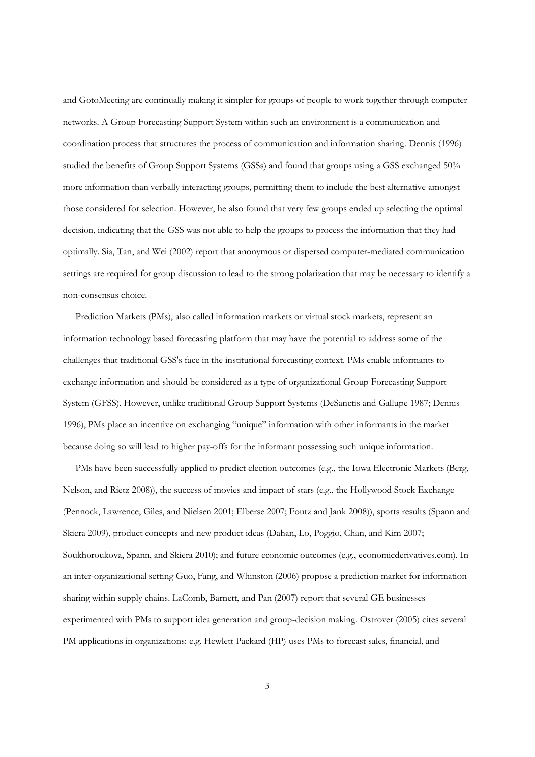and GotoMeeting are continually making it simpler for groups of people to work together through computer networks. A Group Forecasting Support System within such an environment is a communication and coordination process that structures the process of communication and information sharing. Dennis (1996) studied the benefits of Group Support Systems (GSSs) and found that groups using a GSS exchanged 50% more information than verbally interacting groups, permitting them to include the best alternative amongst those considered for selection. However, he also found that very few groups ended up selecting the optimal decision, indicating that the GSS was not able to help the groups to process the information that they had optimally. Sia, Tan, and Wei (2002) report that anonymous or dispersed computer-mediated communication settings are required for group discussion to lead to the strong polarization that may be necessary to identify a non-consensus choice.

Prediction Markets (PMs), also called information markets or virtual stock markets, represent an information technology based forecasting platform that may have the potential to address some of the challenges that traditional GSS's face in the institutional forecasting context. PMs enable informants to exchange information and should be considered as a type of organizational Group Forecasting Support System (GFSS). However, unlike traditional Group Support Systems (DeSanctis and Gallupe 1987; Dennis 1996), PMs place an incentive on exchanging "unique" information with other informants in the market because doing so will lead to higher pay-offs for the informant possessing such unique information.

PMs have been successfully applied to predict election outcomes (e.g., the Iowa Electronic Markets (Berg, Nelson, and Rietz 2008)), the success of movies and impact of stars (e.g., the Hollywood Stock Exchange (Pennock, Lawrence, Giles, and Nielsen 2001; Elberse 2007; Foutz and Jank 2008)), sports results (Spann and Skiera 2009), product concepts and new product ideas (Dahan, Lo, Poggio, Chan, and Kim 2007; Soukhoroukova, Spann, and Skiera 2010); and future economic outcomes (e.g., economicderivatives.com). In an inter-organizational setting Guo, Fang, and Whinston (2006) propose a prediction market for information sharing within supply chains. LaComb, Barnett, and Pan (2007) report that several GE businesses experimented with PMs to support idea generation and group-decision making. Ostrover (2005) cites several PM applications in organizations: e.g. Hewlett Packard (HP) uses PMs to forecast sales, financial, and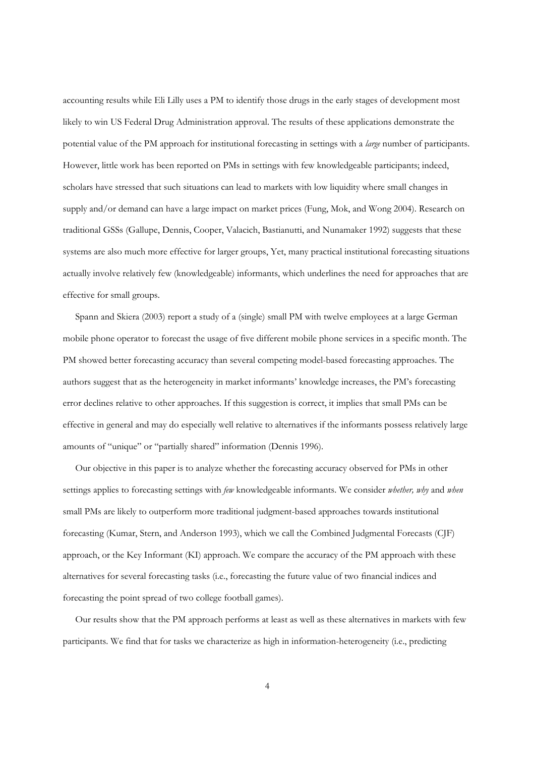accounting results while Eli Lilly uses a PM to identify those drugs in the early stages of development most likely to win US Federal Drug Administration approval. The results of these applications demonstrate the potential value of the PM approach for institutional forecasting in settings with a *large* number of participants. However, little work has been reported on PMs in settings with few knowledgeable participants; indeed, scholars have stressed that such situations can lead to markets with low liquidity where small changes in supply and/or demand can have a large impact on market prices (Fung, Mok, and Wong 2004). Research on traditional GSSs (Gallupe, Dennis, Cooper, Valacich, Bastianutti, and Nunamaker 1992) suggests that these systems are also much more effective for larger groups, Yet, many practical institutional forecasting situations actually involve relatively few (knowledgeable) informants, which underlines the need for approaches that are effective for small groups.

Spann and Skiera (2003) report a study of a (single) small PM with twelve employees at a large German mobile phone operator to forecast the usage of five different mobile phone services in a specific month. The PM showed better forecasting accuracy than several competing model-based forecasting approaches. The authors suggest that as the heterogeneity in market informants' knowledge increases, the PM's forecasting error declines relative to other approaches. If this suggestion is correct, it implies that small PMs can be effective in general and may do especially well relative to alternatives if the informants possess relatively large amounts of "unique" or "partially shared" information (Dennis 1996).

Our objective in this paper is to analyze whether the forecasting accuracy observed for PMs in other settings applies to forecasting settings with *few* knowledgeable informants. We consider *whether, why* and *when* small PMs are likely to outperform more traditional judgment-based approaches towards institutional forecasting (Kumar, Stern, and Anderson 1993), which we call the Combined Judgmental Forecasts (CJF) approach, or the Key Informant (KI) approach. We compare the accuracy of the PM approach with these alternatives for several forecasting tasks (i.e., forecasting the future value of two financial indices and forecasting the point spread of two college football games).

Our results show that the PM approach performs at least as well as these alternatives in markets with few participants. We find that for tasks we characterize as high in information-heterogeneity (i.e., predicting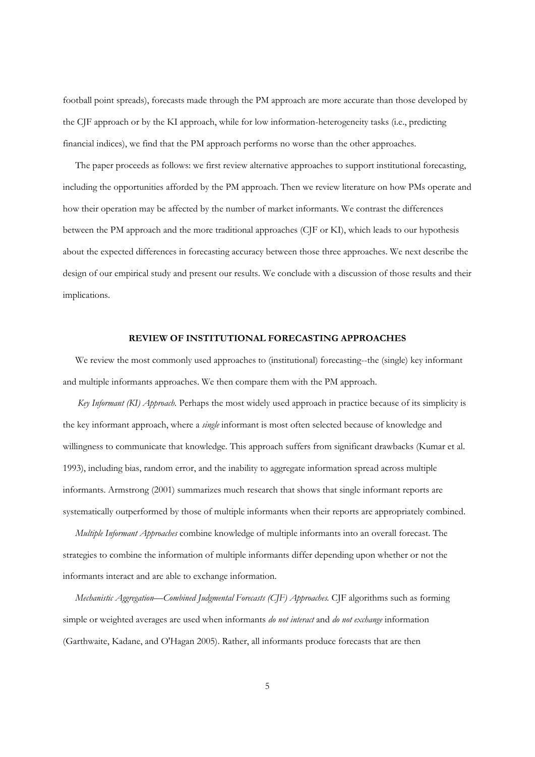football point spreads), forecasts made through the PM approach are more accurate than those developed by the CJF approach or by the KI approach, while for low information-heterogeneity tasks (i.e., predicting financial indices), we find that the PM approach performs no worse than the other approaches.

The paper proceeds as follows: we first review alternative approaches to support institutional forecasting, including the opportunities afforded by the PM approach. Then we review literature on how PMs operate and how their operation may be affected by the number of market informants. We contrast the differences between the PM approach and the more traditional approaches (CJF or KI), which leads to our hypothesis about the expected differences in forecasting accuracy between those three approaches. We next describe the design of our empirical study and present our results. We conclude with a discussion of those results and their implications.

### **REVIEW OF INSTITUTIONAL FORECASTING APPROACHES**

We review the most commonly used approaches to (institutional) forecasting--the (single) key informant and multiple informants approaches. We then compare them with the PM approach.

 *Key Informant (KI) Approach.* Perhaps the most widely used approach in practice because of its simplicity is the key informant approach, where a *single* informant is most often selected because of knowledge and willingness to communicate that knowledge. This approach suffers from significant drawbacks (Kumar et al. 1993), including bias, random error, and the inability to aggregate information spread across multiple informants. Armstrong (2001) summarizes much research that shows that single informant reports are systematically outperformed by those of multiple informants when their reports are appropriately combined.

*Multiple Informant Approaches* combine knowledge of multiple informants into an overall forecast. The strategies to combine the information of multiple informants differ depending upon whether or not the informants interact and are able to exchange information.

*Mechanistic Aggregation—Combined Judgmental Forecasts (CJF) Approaches.* CJF algorithms such as forming simple or weighted averages are used when informants *do not interact* and *do not exchange* information (Garthwaite, Kadane, and O'Hagan 2005). Rather, all informants produce forecasts that are then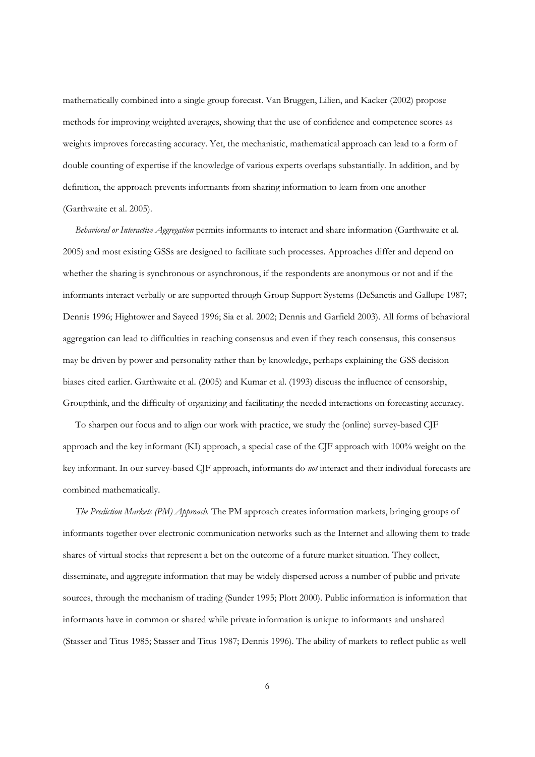mathematically combined into a single group forecast. Van Bruggen, Lilien, and Kacker (2002) propose methods for improving weighted averages, showing that the use of confidence and competence scores as weights improves forecasting accuracy. Yet, the mechanistic, mathematical approach can lead to a form of double counting of expertise if the knowledge of various experts overlaps substantially. In addition, and by definition, the approach prevents informants from sharing information to learn from one another (Garthwaite et al. 2005).

*Behavioral or Interactive Aggregation* permits informants to interact and share information (Garthwaite et al. 2005) and most existing GSSs are designed to facilitate such processes. Approaches differ and depend on whether the sharing is synchronous or asynchronous, if the respondents are anonymous or not and if the informants interact verbally or are supported through Group Support Systems (DeSanctis and Gallupe 1987; Dennis 1996; Hightower and Sayeed 1996; Sia et al. 2002; Dennis and Garfield 2003). All forms of behavioral aggregation can lead to difficulties in reaching consensus and even if they reach consensus, this consensus may be driven by power and personality rather than by knowledge, perhaps explaining the GSS decision biases cited earlier. Garthwaite et al. (2005) and Kumar et al. (1993) discuss the influence of censorship, Groupthink, and the difficulty of organizing and facilitating the needed interactions on forecasting accuracy.

To sharpen our focus and to align our work with practice, we study the (online) survey-based CJF approach and the key informant (KI) approach, a special case of the CJF approach with 100% weight on the key informant. In our survey-based CJF approach, informants do *not* interact and their individual forecasts are combined mathematically.

*The Prediction Markets (PM) Approach.* The PM approach creates information markets, bringing groups of informants together over electronic communication networks such as the Internet and allowing them to trade shares of virtual stocks that represent a bet on the outcome of a future market situation. They collect, disseminate, and aggregate information that may be widely dispersed across a number of public and private sources, through the mechanism of trading (Sunder 1995; Plott 2000). Public information is information that informants have in common or shared while private information is unique to informants and unshared (Stasser and Titus 1985; Stasser and Titus 1987; Dennis 1996). The ability of markets to reflect public as well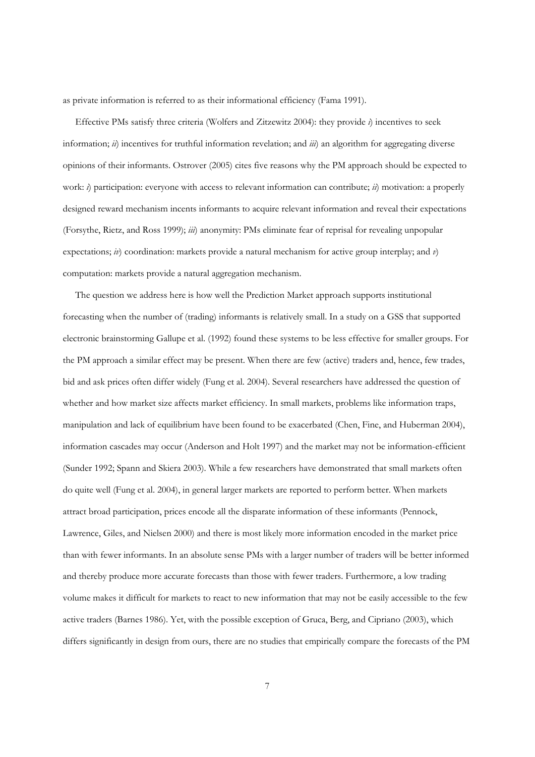as private information is referred to as their informational efficiency (Fama 1991).

Effective PMs satisfy three criteria (Wolfers and Zitzewitz 2004): they provide *i*) incentives to seek information; *ii*) incentives for truthful information revelation; and *iii*) an algorithm for aggregating diverse opinions of their informants. Ostrover (2005) cites five reasons why the PM approach should be expected to work: *i*) participation: everyone with access to relevant information can contribute; *ii*) motivation: a properly designed reward mechanism incents informants to acquire relevant information and reveal their expectations (Forsythe, Rietz, and Ross 1999); *iii*) anonymity: PMs eliminate fear of reprisal for revealing unpopular expectations; *iv*) coordination: markets provide a natural mechanism for active group interplay; and *v*) computation: markets provide a natural aggregation mechanism.

The question we address here is how well the Prediction Market approach supports institutional forecasting when the number of (trading) informants is relatively small. In a study on a GSS that supported electronic brainstorming Gallupe et al. (1992) found these systems to be less effective for smaller groups. For the PM approach a similar effect may be present. When there are few (active) traders and, hence, few trades, bid and ask prices often differ widely (Fung et al. 2004). Several researchers have addressed the question of whether and how market size affects market efficiency. In small markets, problems like information traps, manipulation and lack of equilibrium have been found to be exacerbated (Chen, Fine, and Huberman 2004), information cascades may occur (Anderson and Holt 1997) and the market may not be information-efficient (Sunder 1992; Spann and Skiera 2003). While a few researchers have demonstrated that small markets often do quite well (Fung et al. 2004), in general larger markets are reported to perform better. When markets attract broad participation, prices encode all the disparate information of these informants (Pennock, Lawrence, Giles, and Nielsen 2000) and there is most likely more information encoded in the market price than with fewer informants. In an absolute sense PMs with a larger number of traders will be better informed and thereby produce more accurate forecasts than those with fewer traders. Furthermore, a low trading volume makes it difficult for markets to react to new information that may not be easily accessible to the few active traders (Barnes 1986). Yet, with the possible exception of Gruca, Berg, and Cipriano (2003), which differs significantly in design from ours, there are no studies that empirically compare the forecasts of the PM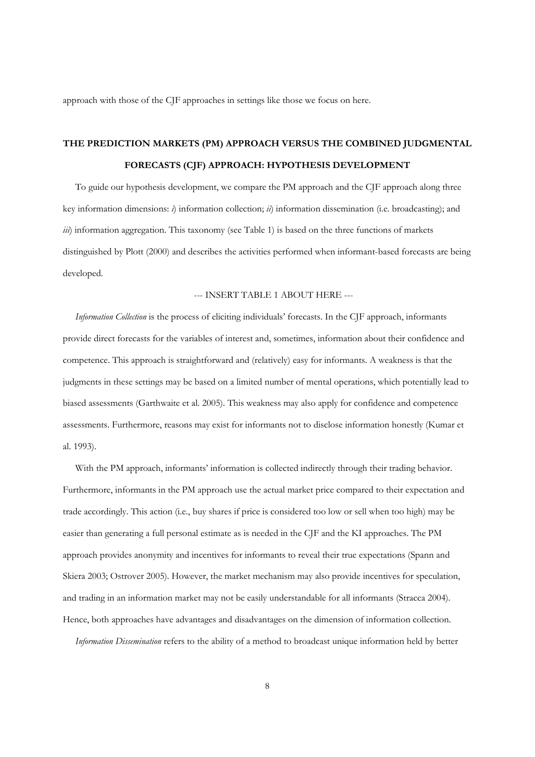approach with those of the CJF approaches in settings like those we focus on here.

# **THE PREDICTION MARKETS (PM) APPROACH VERSUS THE COMBINED JUDGMENTAL FORECASTS (CJF) APPROACH: HYPOTHESIS DEVELOPMENT**

To guide our hypothesis development, we compare the PM approach and the CJF approach along three key information dimensions: *i*) information collection; *ii*) information dissemination (i.e. broadcasting); and *iii*) information aggregation. This taxonomy (see Table 1) is based on the three functions of markets distinguished by Plott (2000) and describes the activities performed when informant-based forecasts are being developed.

#### --- INSERT TABLE 1 ABOUT HERE ---

*Information Collection* is the process of eliciting individuals' forecasts. In the CJF approach, informants provide direct forecasts for the variables of interest and, sometimes, information about their confidence and competence. This approach is straightforward and (relatively) easy for informants. A weakness is that the judgments in these settings may be based on a limited number of mental operations, which potentially lead to biased assessments (Garthwaite et al. 2005). This weakness may also apply for confidence and competence assessments. Furthermore, reasons may exist for informants not to disclose information honestly (Kumar et al. 1993).

With the PM approach, informants' information is collected indirectly through their trading behavior. Furthermore, informants in the PM approach use the actual market price compared to their expectation and trade accordingly. This action (i.e., buy shares if price is considered too low or sell when too high) may be easier than generating a full personal estimate as is needed in the CJF and the KI approaches. The PM approach provides anonymity and incentives for informants to reveal their true expectations (Spann and Skiera 2003; Ostrover 2005). However, the market mechanism may also provide incentives for speculation, and trading in an information market may not be easily understandable for all informants (Stracca 2004). Hence, both approaches have advantages and disadvantages on the dimension of information collection.

*Information Dissemination* refers to the ability of a method to broadcast unique information held by better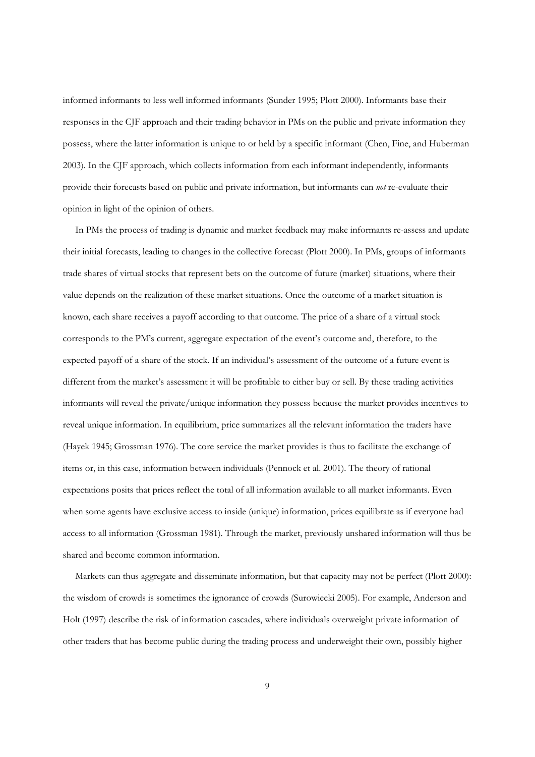informed informants to less well informed informants (Sunder 1995; Plott 2000). Informants base their responses in the CJF approach and their trading behavior in PMs on the public and private information they possess, where the latter information is unique to or held by a specific informant (Chen, Fine, and Huberman 2003). In the CJF approach, which collects information from each informant independently, informants provide their forecasts based on public and private information, but informants can *not* re-evaluate their opinion in light of the opinion of others.

In PMs the process of trading is dynamic and market feedback may make informants re-assess and update their initial forecasts, leading to changes in the collective forecast (Plott 2000). In PMs, groups of informants trade shares of virtual stocks that represent bets on the outcome of future (market) situations, where their value depends on the realization of these market situations. Once the outcome of a market situation is known, each share receives a payoff according to that outcome. The price of a share of a virtual stock corresponds to the PM's current, aggregate expectation of the event's outcome and, therefore, to the expected payoff of a share of the stock. If an individual's assessment of the outcome of a future event is different from the market's assessment it will be profitable to either buy or sell. By these trading activities informants will reveal the private/unique information they possess because the market provides incentives to reveal unique information. In equilibrium, price summarizes all the relevant information the traders have (Hayek 1945; Grossman 1976). The core service the market provides is thus to facilitate the exchange of items or, in this case, information between individuals (Pennock et al. 2001). The theory of rational expectations posits that prices reflect the total of all information available to all market informants. Even when some agents have exclusive access to inside (unique) information, prices equilibrate as if everyone had access to all information (Grossman 1981). Through the market, previously unshared information will thus be shared and become common information.

Markets can thus aggregate and disseminate information, but that capacity may not be perfect (Plott 2000): the wisdom of crowds is sometimes the ignorance of crowds (Surowiecki 2005). For example, Anderson and Holt (1997) describe the risk of information cascades, where individuals overweight private information of other traders that has become public during the trading process and underweight their own, possibly higher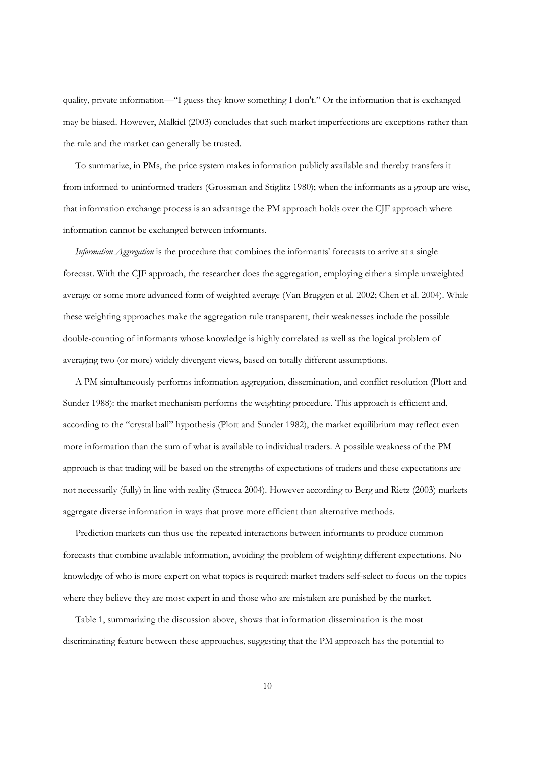quality, private information—"I guess they know something I don't." Or the information that is exchanged may be biased. However, Malkiel (2003) concludes that such market imperfections are exceptions rather than the rule and the market can generally be trusted.

To summarize, in PMs, the price system makes information publicly available and thereby transfers it from informed to uninformed traders (Grossman and Stiglitz 1980); when the informants as a group are wise, that information exchange process is an advantage the PM approach holds over the CJF approach where information cannot be exchanged between informants.

*Information Aggregation* is the procedure that combines the informants' forecasts to arrive at a single forecast. With the CJF approach, the researcher does the aggregation, employing either a simple unweighted average or some more advanced form of weighted average (Van Bruggen et al. 2002; Chen et al. 2004). While these weighting approaches make the aggregation rule transparent, their weaknesses include the possible double-counting of informants whose knowledge is highly correlated as well as the logical problem of averaging two (or more) widely divergent views, based on totally different assumptions.

A PM simultaneously performs information aggregation, dissemination, and conflict resolution (Plott and Sunder 1988): the market mechanism performs the weighting procedure. This approach is efficient and, according to the "crystal ball" hypothesis (Plott and Sunder 1982), the market equilibrium may reflect even more information than the sum of what is available to individual traders. A possible weakness of the PM approach is that trading will be based on the strengths of expectations of traders and these expectations are not necessarily (fully) in line with reality (Stracca 2004). However according to Berg and Rietz (2003) markets aggregate diverse information in ways that prove more efficient than alternative methods.

Prediction markets can thus use the repeated interactions between informants to produce common forecasts that combine available information, avoiding the problem of weighting different expectations. No knowledge of who is more expert on what topics is required: market traders self-select to focus on the topics where they believe they are most expert in and those who are mistaken are punished by the market.

Table 1, summarizing the discussion above, shows that information dissemination is the most discriminating feature between these approaches, suggesting that the PM approach has the potential to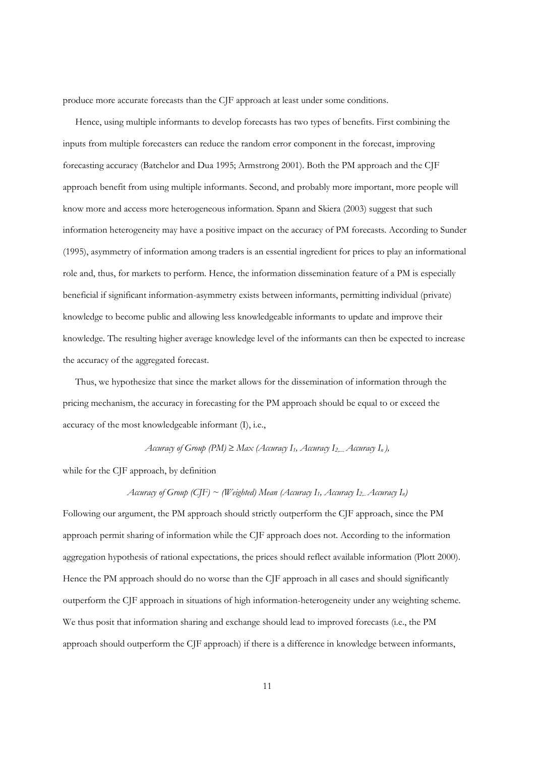produce more accurate forecasts than the CJF approach at least under some conditions.

Hence, using multiple informants to develop forecasts has two types of benefits. First combining the inputs from multiple forecasters can reduce the random error component in the forecast, improving forecasting accuracy (Batchelor and Dua 1995; Armstrong 2001). Both the PM approach and the CJF approach benefit from using multiple informants. Second, and probably more important, more people will know more and access more heterogeneous information. Spann and Skiera (2003) suggest that such information heterogeneity may have a positive impact on the accuracy of PM forecasts. According to Sunder (1995), asymmetry of information among traders is an essential ingredient for prices to play an informational role and, thus, for markets to perform. Hence, the information dissemination feature of a PM is especially beneficial if significant information-asymmetry exists between informants, permitting individual (private) knowledge to become public and allowing less knowledgeable informants to update and improve their knowledge. The resulting higher average knowledge level of the informants can then be expected to increase the accuracy of the aggregated forecast.

Thus, we hypothesize that since the market allows for the dissemination of information through the pricing mechanism, the accuracy in forecasting for the PM approach should be equal to or exceed the accuracy of the most knowledgeable informant (I), i.e.,

*Accuracy of Group (PM)*  $\geq$  *Max (Accuracy I<sub>1</sub>, Accuracy I<sub>2,...</sub> Accuracy I<sub>n</sub>)*,

while for the CJF approach, by definition

## *Accuracy of Group (CJF)* ~ *(Weighted)* Mean *(Accuracy I<sub>1</sub>, Accuracy I<sub>2</sub>, Accuracy I<sub>n</sub>)*

Following our argument, the PM approach should strictly outperform the CJF approach, since the PM approach permit sharing of information while the CJF approach does not. According to the information aggregation hypothesis of rational expectations, the prices should reflect available information (Plott 2000). Hence the PM approach should do no worse than the CJF approach in all cases and should significantly outperform the CJF approach in situations of high information-heterogeneity under any weighting scheme. We thus posit that information sharing and exchange should lead to improved forecasts (i.e., the PM approach should outperform the CJF approach) if there is a difference in knowledge between informants,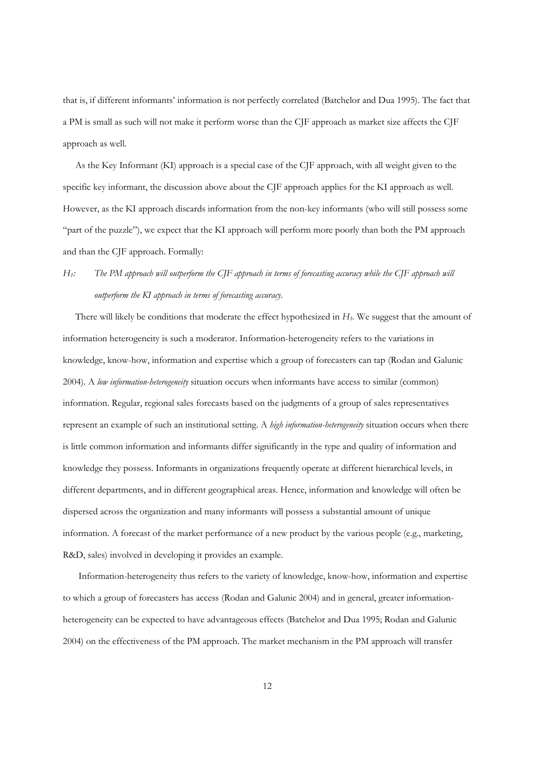that is, if different informants' information is not perfectly correlated (Batchelor and Dua 1995). The fact that a PM is small as such will not make it perform worse than the CJF approach as market size affects the CJF approach as well.

As the Key Informant (KI) approach is a special case of the CJF approach, with all weight given to the specific key informant, the discussion above about the CJF approach applies for the KI approach as well. However, as the KI approach discards information from the non-key informants (who will still possess some "part of the puzzle"), we expect that the KI approach will perform more poorly than both the PM approach and than the CJF approach. Formally:

# *H<sub>1</sub>*: The PM approach will outperform the CJF approach in terms of forecasting accuracy while the CJF approach will *outperform the KI approach in terms of forecasting accuracy.*

There will likely be conditions that moderate the effect hypothesized in *H1.* We suggest that the amount of information heterogeneity is such a moderator. Information-heterogeneity refers to the variations in knowledge, know-how, information and expertise which a group of forecasters can tap (Rodan and Galunic 2004). A *low information-heterogeneity* situation occurs when informants have access to similar (common) information. Regular, regional sales forecasts based on the judgments of a group of sales representatives represent an example of such an institutional setting. A *high information-heterogeneity* situation occurs when there is little common information and informants differ significantly in the type and quality of information and knowledge they possess. Informants in organizations frequently operate at different hierarchical levels, in different departments, and in different geographical areas. Hence, information and knowledge will often be dispersed across the organization and many informants will possess a substantial amount of unique information. A forecast of the market performance of a new product by the various people (e.g., marketing, R&D, sales) involved in developing it provides an example.

Information-heterogeneity thus refers to the variety of knowledge, know-how, information and expertise to which a group of forecasters has access (Rodan and Galunic 2004) and in general, greater informationheterogeneity can be expected to have advantageous effects (Batchelor and Dua 1995; Rodan and Galunic 2004) on the effectiveness of the PM approach. The market mechanism in the PM approach will transfer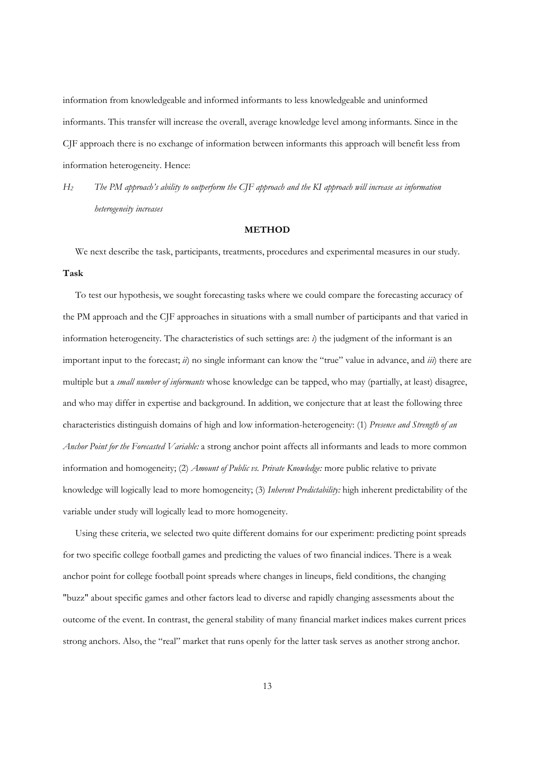information from knowledgeable and informed informants to less knowledgeable and uninformed informants. This transfer will increase the overall, average knowledge level among informants. Since in the CJF approach there is no exchange of information between informants this approach will benefit less from information heterogeneity. Hence:

*H2 The PM approach's ability to outperform the CJF approach and the KI approach will increase as information heterogeneity increases*

### **METHOD**

We next describe the task, participants, treatments, procedures and experimental measures in our study. **Task** 

To test our hypothesis, we sought forecasting tasks where we could compare the forecasting accuracy of the PM approach and the CJF approaches in situations with a small number of participants and that varied in information heterogeneity. The characteristics of such settings are: *i*) the judgment of the informant is an important input to the forecast; *ii*) no single informant can know the "true" value in advance, and *iii*) there are multiple but a *small number of informants* whose knowledge can be tapped, who may (partially, at least) disagree, and who may differ in expertise and background. In addition, we conjecture that at least the following three characteristics distinguish domains of high and low information-heterogeneity: (1) *Presence and Strength of an Anchor Point for the Forecasted Variable:* a strong anchor point affects all informants and leads to more common information and homogeneity; (2) *Amount of Public vs. Private Knowledge:* more public relative to private knowledge will logically lead to more homogeneity; (3) *Inherent Predictability:* high inherent predictability of the variable under study will logically lead to more homogeneity.

Using these criteria, we selected two quite different domains for our experiment: predicting point spreads for two specific college football games and predicting the values of two financial indices. There is a weak anchor point for college football point spreads where changes in lineups, field conditions, the changing "buzz" about specific games and other factors lead to diverse and rapidly changing assessments about the outcome of the event. In contrast, the general stability of many financial market indices makes current prices strong anchors. Also, the "real" market that runs openly for the latter task serves as another strong anchor.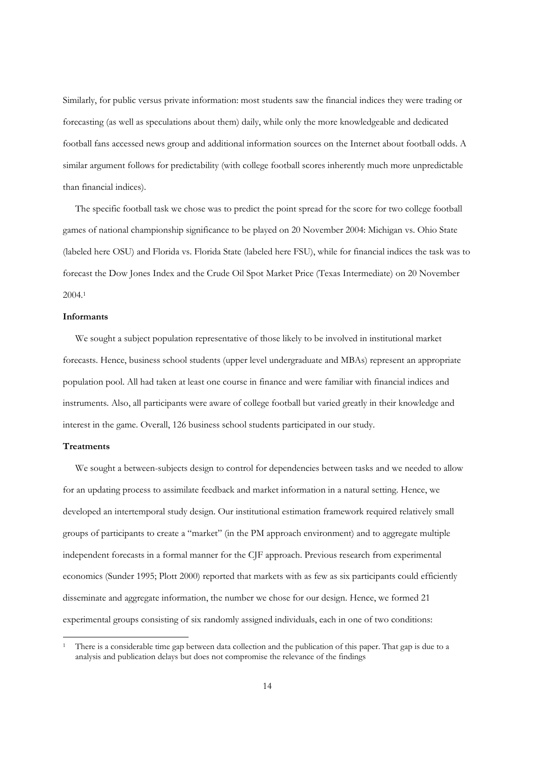Similarly, for public versus private information: most students saw the financial indices they were trading or forecasting (as well as speculations about them) daily, while only the more knowledgeable and dedicated football fans accessed news group and additional information sources on the Internet about football odds. A similar argument follows for predictability (with college football scores inherently much more unpredictable than financial indices).

The specific football task we chose was to predict the point spread for the score for two college football games of national championship significance to be played on 20 November 2004: Michigan vs. Ohio State (labeled here OSU) and Florida vs. Florida State (labeled here FSU), while for financial indices the task was to forecast the Dow Jones Index and the Crude Oil Spot Market Price (Texas Intermediate) on 20 November 2004.1

#### **Informants**

We sought a subject population representative of those likely to be involved in institutional market forecasts. Hence, business school students (upper level undergraduate and MBAs) represent an appropriate population pool. All had taken at least one course in finance and were familiar with financial indices and instruments. Also, all participants were aware of college football but varied greatly in their knowledge and interest in the game. Overall, 126 business school students participated in our study.

## **Treatments**

-

We sought a between-subjects design to control for dependencies between tasks and we needed to allow for an updating process to assimilate feedback and market information in a natural setting. Hence, we developed an intertemporal study design. Our institutional estimation framework required relatively small groups of participants to create a "market" (in the PM approach environment) and to aggregate multiple independent forecasts in a formal manner for the CJF approach. Previous research from experimental economics (Sunder 1995; Plott 2000) reported that markets with as few as six participants could efficiently disseminate and aggregate information, the number we chose for our design. Hence, we formed 21 experimental groups consisting of six randomly assigned individuals, each in one of two conditions:

<sup>1</sup> There is a considerable time gap between data collection and the publication of this paper. That gap is due to a analysis and publication delays but does not compromise the relevance of the findings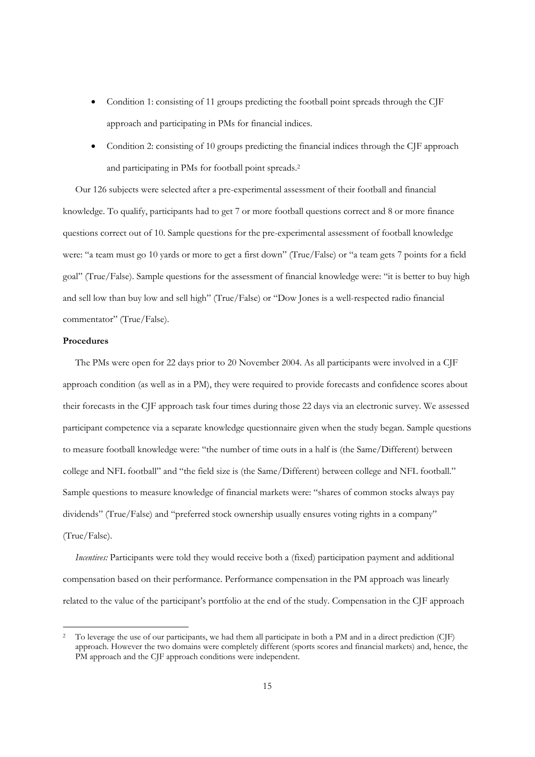- Condition 1: consisting of 11 groups predicting the football point spreads through the CJF approach and participating in PMs for financial indices.
- Condition 2: consisting of 10 groups predicting the financial indices through the CJF approach and participating in PMs for football point spreads.2

Our 126 subjects were selected after a pre-experimental assessment of their football and financial knowledge. To qualify, participants had to get 7 or more football questions correct and 8 or more finance questions correct out of 10. Sample questions for the pre-experimental assessment of football knowledge were: "a team must go 10 yards or more to get a first down" (True/False) or "a team gets 7 points for a field goal" (True/False). Sample questions for the assessment of financial knowledge were: "it is better to buy high and sell low than buy low and sell high" (True/False) or "Dow Jones is a well-respected radio financial commentator" (True/False).

## **Procedures**

-

The PMs were open for 22 days prior to 20 November 2004. As all participants were involved in a CJF approach condition (as well as in a PM), they were required to provide forecasts and confidence scores about their forecasts in the CJF approach task four times during those 22 days via an electronic survey. We assessed participant competence via a separate knowledge questionnaire given when the study began. Sample questions to measure football knowledge were: "the number of time outs in a half is (the Same/Different) between college and NFL football" and "the field size is (the Same/Different) between college and NFL football." Sample questions to measure knowledge of financial markets were: "shares of common stocks always pay dividends" (True/False) and "preferred stock ownership usually ensures voting rights in a company" (True/False).

*Incentives: Participants were told they would receive both a (fixed) participation payment and additional* compensation based on their performance. Performance compensation in the PM approach was linearly related to the value of the participant's portfolio at the end of the study. Compensation in the CJF approach

<sup>2</sup> To leverage the use of our participants, we had them all participate in both a PM and in a direct prediction (CJF) approach. However the two domains were completely different (sports scores and financial markets) and, hence, the PM approach and the CJF approach conditions were independent.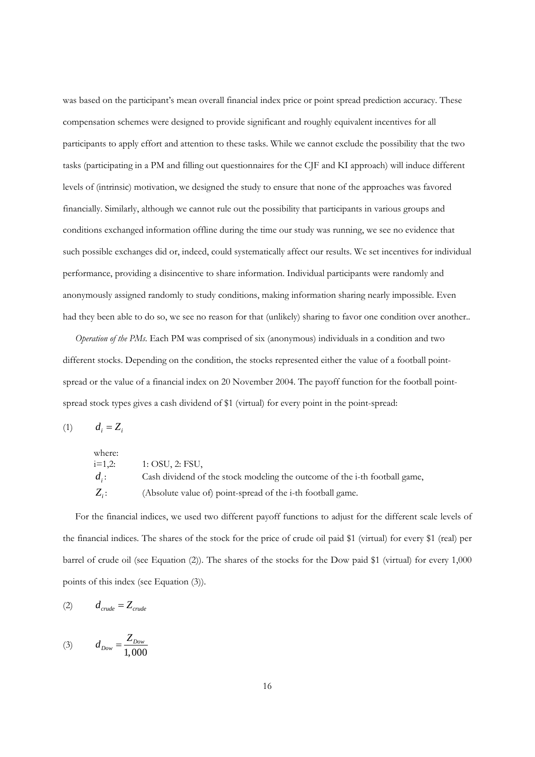was based on the participant's mean overall financial index price or point spread prediction accuracy. These compensation schemes were designed to provide significant and roughly equivalent incentives for all participants to apply effort and attention to these tasks. While we cannot exclude the possibility that the two tasks (participating in a PM and filling out questionnaires for the CJF and KI approach) will induce different levels of (intrinsic) motivation, we designed the study to ensure that none of the approaches was favored financially. Similarly, although we cannot rule out the possibility that participants in various groups and conditions exchanged information offline during the time our study was running, we see no evidence that such possible exchanges did or, indeed, could systematically affect our results. We set incentives for individual performance, providing a disincentive to share information. Individual participants were randomly and anonymously assigned randomly to study conditions, making information sharing nearly impossible. Even had they been able to do so, we see no reason for that (unlikely) sharing to favor one condition over another..

*Operation of the PMs.* Each PM was comprised of six (anonymous) individuals in a condition and two different stocks. Depending on the condition, the stocks represented either the value of a football pointspread or the value of a financial index on 20 November 2004. The payoff function for the football pointspread stock types gives a cash dividend of \$1 (virtual) for every point in the point-spread:

$$
(1) \t d_i = Z_i
$$

| where:    |                                                                            |
|-----------|----------------------------------------------------------------------------|
| $i=1,2$ : | 1: OSU, 2: FSU,                                                            |
| $d_i$ :   | Cash dividend of the stock modeling the outcome of the i-th football game, |
| $Z_i$ :   | (Absolute value of) point-spread of the i-th football game.                |

For the financial indices, we used two different payoff functions to adjust for the different scale levels of the financial indices. The shares of the stock for the price of crude oil paid \$1 (virtual) for every \$1 (real) per barrel of crude oil (see Equation (2)). The shares of the stocks for the Dow paid \$1 (virtual) for every 1,000 points of this index (see Equation (3)).

$$
(2) \t d_{crude} = Z_{crude}
$$

(3) 
$$
d_{Dow} = \frac{Z_{Dow}}{1,000}
$$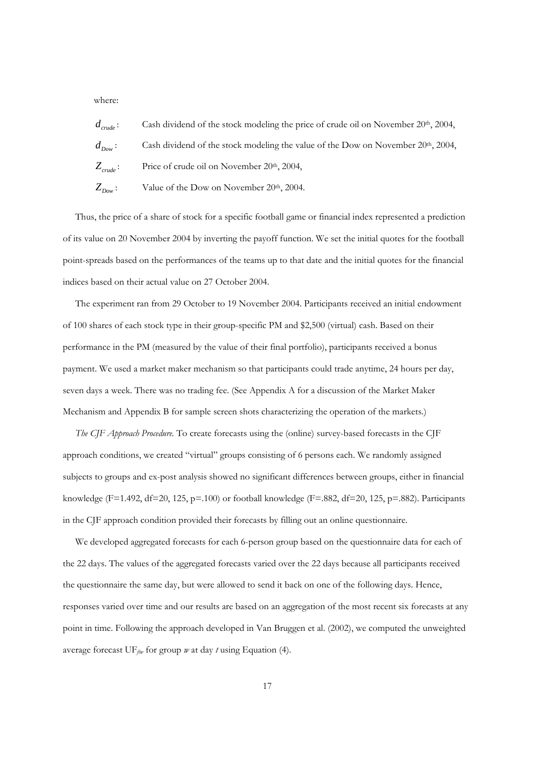where:

 $d_{crude}$ : Cash dividend of the stock modeling the price of crude oil on November 20<sup>th</sup>, 2004,  $d_{Dow}$ : Cash dividend of the stock modeling the value of the Dow on November 20<sup>th</sup>, 2004, Z<sub>crude</sub>: Price of crude oil on November 20<sup>th</sup>, 2004,  $Z_{Dow}$ : Value of the Dow on November 20<sup>th</sup>, 2004.

Thus, the price of a share of stock for a specific football game or financial index represented a prediction of its value on 20 November 2004 by inverting the payoff function. We set the initial quotes for the football point-spreads based on the performances of the teams up to that date and the initial quotes for the financial indices based on their actual value on 27 October 2004.

The experiment ran from 29 October to 19 November 2004. Participants received an initial endowment of 100 shares of each stock type in their group-specific PM and \$2,500 (virtual) cash. Based on their performance in the PM (measured by the value of their final portfolio), participants received a bonus payment. We used a market maker mechanism so that participants could trade anytime, 24 hours per day, seven days a week. There was no trading fee. (See Appendix A for a discussion of the Market Maker Mechanism and Appendix B for sample screen shots characterizing the operation of the markets.)

*The CJF Approach Procedure.* To create forecasts using the (online) survey-based forecasts in the CJF approach conditions, we created "virtual" groups consisting of 6 persons each. We randomly assigned subjects to groups and ex-post analysis showed no significant differences between groups, either in financial knowledge (F=1.492, df=20, 125, p=.100) or football knowledge (F=.882, df=20, 125, p=.882). Participants in the CJF approach condition provided their forecasts by filling out an online questionnaire.

We developed aggregated forecasts for each 6-person group based on the questionnaire data for each of the 22 days. The values of the aggregated forecasts varied over the 22 days because all participants received the questionnaire the same day, but were allowed to send it back on one of the following days. Hence, responses varied over time and our results are based on an aggregation of the most recent six forecasts at any point in time. Following the approach developed in Van Bruggen et al. (2002), we computed the unweighted average forecast UF*ftw* for group *w* at day *t* using Equation (4).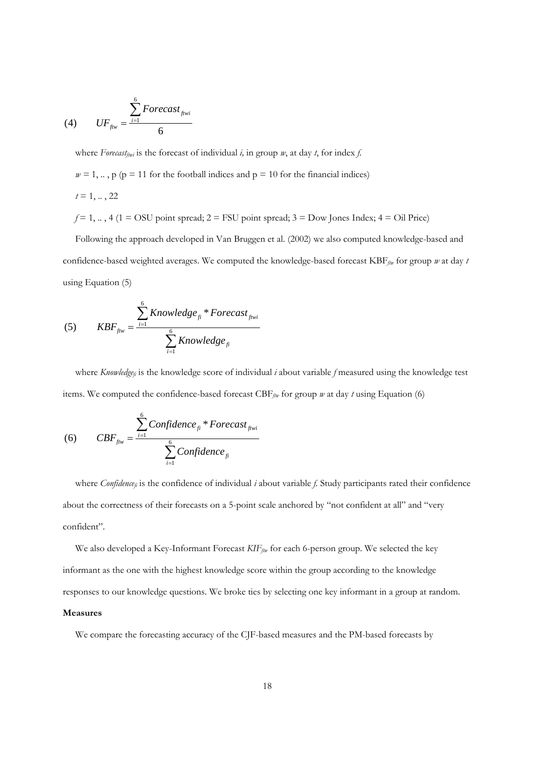$$
(4) \qquad UF_{\text{ftw}} = \frac{\sum_{i=1}^{6} Forecast_{\text{ftwi}}}{6}
$$

where *Forecastftwi* is the forecast of individual *i,* in group *w*, at day *t*, for index *f*.

- $w = 1, \ldots, p$  ( $p = 11$  for the football indices and  $p = 10$  for the financial indices)
- $t = 1, \ldots, 22$
- $f = 1, \ldots, 4$  (1 = OSU point spread; 2 = FSU point spread; 3 = Dow Jones Index; 4 = Oil Price)

Following the approach developed in Van Bruggen et al. (2002) we also computed knowledge-based and confidence-based weighted averages. We computed the knowledge-based forecast KBF<sub>ftw</sub> for group w at day *t* using Equation (5)

(5) 
$$
KBF_{fiv} = \frac{\sum_{i=1}^{6} Knowledge_{fi} * Forecast_{fivi}}{\sum_{i=1}^{6} Knowledge_{fi}}
$$

where *Knowledgefi* is the knowledge score of individual *i* about variable *f* measured using the knowledge test items. We computed the confidence-based forecast  $CBF_{\text{faw}}$  for group *w* at day *t* using Equation (6)

(6) 
$$
CBF_{f(w)} = \frac{\sum_{i=1}^{6} Confidence_{fi} * Forecast_{f(w)}}{\sum_{i=1}^{6} Confidence_{fi}}
$$

where *Confidencefi* is the confidence of individual *i* about variable *f*. Study participants rated their confidence about the correctness of their forecasts on a 5-point scale anchored by "not confident at all" and "very confident".

We also developed a Key-Informant Forecast *KIF<sub>ftw</sub>* for each 6-person group. We selected the key informant as the one with the highest knowledge score within the group according to the knowledge responses to our knowledge questions. We broke ties by selecting one key informant in a group at random.

## **Measures**

We compare the forecasting accuracy of the CJF-based measures and the PM-based forecasts by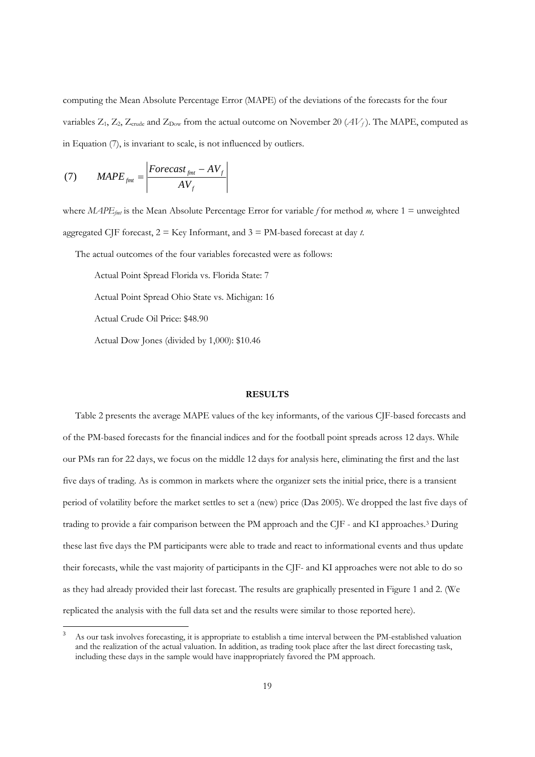computing the Mean Absolute Percentage Error (MAPE) of the deviations of the forecasts for the four variables  $Z_1$ ,  $Z_2$ ,  $Z_{\text{crude}}$  and  $Z_{\text{Down}}$  from the actual outcome on November 20 ( $AV<sub>f</sub>$ ). The MAPE, computed as in Equation (7), is invariant to scale, is not influenced by outliers.

$$
(7) \qquad MAPE_{\text{fint}} = \left| \frac{Forecast_{\text{fint}} - AV_f}{AV_f} \right|
$$

where *MAPE<sub>fmt</sub>* is the Mean Absolute Percentage Error for variable *f* for method *m*, where 1 = unweighted aggregated CJF forecast, 2 = Key Informant, and 3 = PM-based forecast at day *t*.

The actual outcomes of the four variables forecasted were as follows:

Actual Point Spread Florida vs. Florida State: 7 Actual Point Spread Ohio State vs. Michigan: 16 Actual Crude Oil Price: \$48.90

Actual Dow Jones (divided by 1,000): \$10.46

-

#### **RESULTS**

Table 2 presents the average MAPE values of the key informants, of the various CJF-based forecasts and of the PM-based forecasts for the financial indices and for the football point spreads across 12 days. While our PMs ran for 22 days, we focus on the middle 12 days for analysis here, eliminating the first and the last five days of trading. As is common in markets where the organizer sets the initial price, there is a transient period of volatility before the market settles to set a (new) price (Das 2005). We dropped the last five days of trading to provide a fair comparison between the PM approach and the CJF - and KI approaches.3 During these last five days the PM participants were able to trade and react to informational events and thus update their forecasts, while the vast majority of participants in the CJF- and KI approaches were not able to do so as they had already provided their last forecast. The results are graphically presented in Figure 1 and 2. (We replicated the analysis with the full data set and the results were similar to those reported here).

<sup>3</sup> As our task involves forecasting, it is appropriate to establish a time interval between the PM-established valuation and the realization of the actual valuation. In addition, as trading took place after the last direct forecasting task, including these days in the sample would have inappropriately favored the PM approach.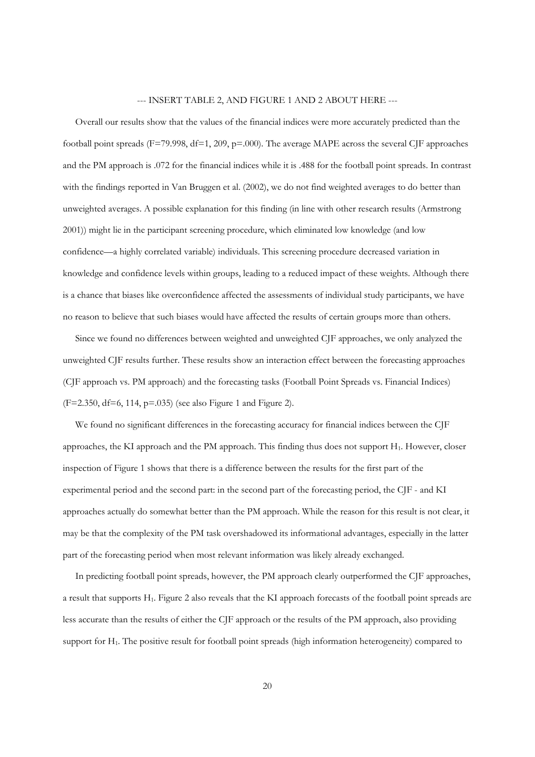#### --- INSERT TABLE 2, AND FIGURE 1 AND 2 ABOUT HERE ---

Overall our results show that the values of the financial indices were more accurately predicted than the football point spreads (F=79.998, df=1, 209, p=.000). The average MAPE across the several CJF approaches and the PM approach is .072 for the financial indices while it is .488 for the football point spreads. In contrast with the findings reported in Van Bruggen et al. (2002), we do not find weighted averages to do better than unweighted averages. A possible explanation for this finding (in line with other research results (Armstrong 2001)) might lie in the participant screening procedure, which eliminated low knowledge (and low confidence—a highly correlated variable) individuals. This screening procedure decreased variation in knowledge and confidence levels within groups, leading to a reduced impact of these weights. Although there is a chance that biases like overconfidence affected the assessments of individual study participants, we have no reason to believe that such biases would have affected the results of certain groups more than others.

Since we found no differences between weighted and unweighted CJF approaches, we only analyzed the unweighted CJF results further. These results show an interaction effect between the forecasting approaches (CJF approach vs. PM approach) and the forecasting tasks (Football Point Spreads vs. Financial Indices) (F=2.350, df=6, 114, p=.035) (see also Figure 1 and Figure 2).

We found no significant differences in the forecasting accuracy for financial indices between the CJF approaches, the KI approach and the PM approach. This finding thus does not support H1. However, closer inspection of Figure 1 shows that there is a difference between the results for the first part of the experimental period and the second part: in the second part of the forecasting period, the CJF - and KI approaches actually do somewhat better than the PM approach. While the reason for this result is not clear, it may be that the complexity of the PM task overshadowed its informational advantages, especially in the latter part of the forecasting period when most relevant information was likely already exchanged.

In predicting football point spreads, however, the PM approach clearly outperformed the CJF approaches, a result that supports H1. Figure 2 also reveals that the KI approach forecasts of the football point spreads are less accurate than the results of either the CJF approach or the results of the PM approach, also providing support for H<sub>1</sub>. The positive result for football point spreads (high information heterogeneity) compared to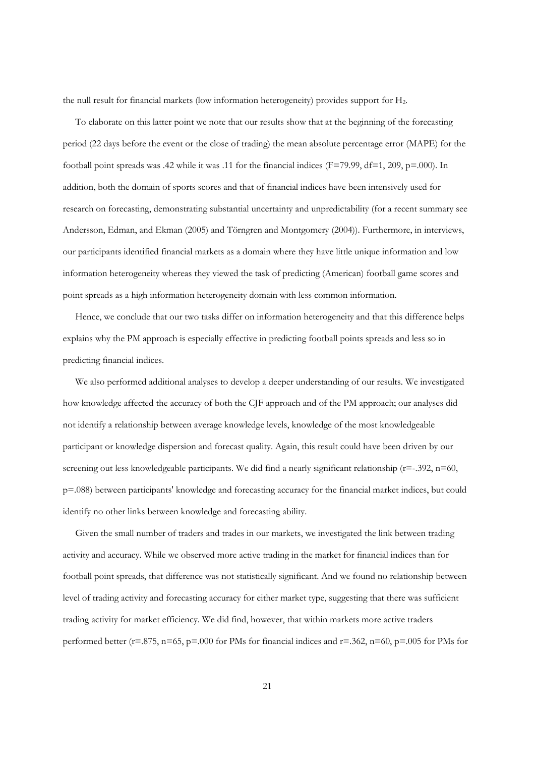the null result for financial markets (low information heterogeneity) provides support for H2.

To elaborate on this latter point we note that our results show that at the beginning of the forecasting period (22 days before the event or the close of trading) the mean absolute percentage error (MAPE) for the football point spreads was .42 while it was .11 for the financial indices (F=79.99, df=1, 209, p=.000). In addition, both the domain of sports scores and that of financial indices have been intensively used for research on forecasting, demonstrating substantial uncertainty and unpredictability (for a recent summary see Andersson, Edman, and Ekman (2005) and Törngren and Montgomery (2004)). Furthermore, in interviews, our participants identified financial markets as a domain where they have little unique information and low information heterogeneity whereas they viewed the task of predicting (American) football game scores and point spreads as a high information heterogeneity domain with less common information.

Hence, we conclude that our two tasks differ on information heterogeneity and that this difference helps explains why the PM approach is especially effective in predicting football points spreads and less so in predicting financial indices.

We also performed additional analyses to develop a deeper understanding of our results. We investigated how knowledge affected the accuracy of both the CJF approach and of the PM approach; our analyses did not identify a relationship between average knowledge levels, knowledge of the most knowledgeable participant or knowledge dispersion and forecast quality. Again, this result could have been driven by our screening out less knowledgeable participants. We did find a nearly significant relationship  $(r=-.392, n=60,$ p=.088) between participants' knowledge and forecasting accuracy for the financial market indices, but could identify no other links between knowledge and forecasting ability.

Given the small number of traders and trades in our markets, we investigated the link between trading activity and accuracy. While we observed more active trading in the market for financial indices than for football point spreads, that difference was not statistically significant. And we found no relationship between level of trading activity and forecasting accuracy for either market type, suggesting that there was sufficient trading activity for market efficiency. We did find, however, that within markets more active traders performed better ( $r=0.875$ ,  $n=65$ ,  $p=0.000$  for PMs for financial indices and  $r=0.362$ ,  $n=60$ ,  $p=0.05$  for PMs for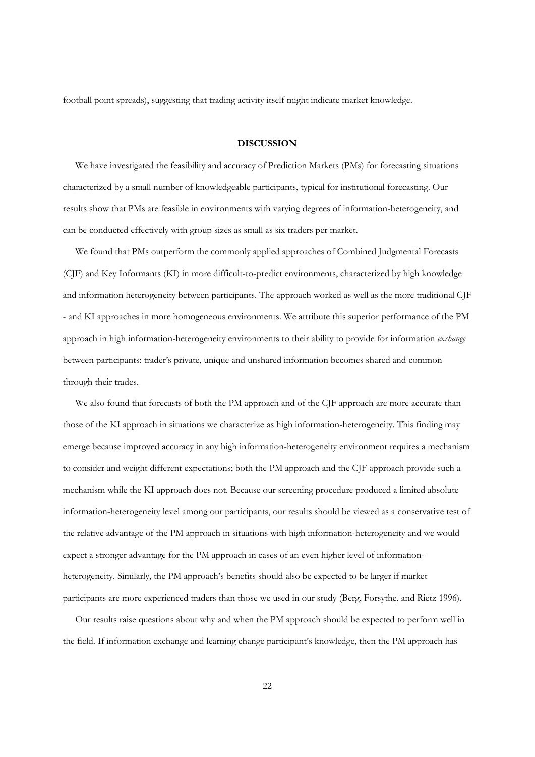football point spreads), suggesting that trading activity itself might indicate market knowledge.

### **DISCUSSION**

We have investigated the feasibility and accuracy of Prediction Markets (PMs) for forecasting situations characterized by a small number of knowledgeable participants, typical for institutional forecasting. Our results show that PMs are feasible in environments with varying degrees of information-heterogeneity, and can be conducted effectively with group sizes as small as six traders per market.

We found that PMs outperform the commonly applied approaches of Combined Judgmental Forecasts (CJF) and Key Informants (KI) in more difficult-to-predict environments, characterized by high knowledge and information heterogeneity between participants. The approach worked as well as the more traditional CJF - and KI approaches in more homogeneous environments. We attribute this superior performance of the PM approach in high information-heterogeneity environments to their ability to provide for information *exchange* between participants: trader's private, unique and unshared information becomes shared and common through their trades.

We also found that forecasts of both the PM approach and of the CJF approach are more accurate than those of the KI approach in situations we characterize as high information-heterogeneity. This finding may emerge because improved accuracy in any high information-heterogeneity environment requires a mechanism to consider and weight different expectations; both the PM approach and the CJF approach provide such a mechanism while the KI approach does not. Because our screening procedure produced a limited absolute information-heterogeneity level among our participants, our results should be viewed as a conservative test of the relative advantage of the PM approach in situations with high information-heterogeneity and we would expect a stronger advantage for the PM approach in cases of an even higher level of informationheterogeneity. Similarly, the PM approach's benefits should also be expected to be larger if market participants are more experienced traders than those we used in our study (Berg, Forsythe, and Rietz 1996).

Our results raise questions about why and when the PM approach should be expected to perform well in the field. If information exchange and learning change participant's knowledge, then the PM approach has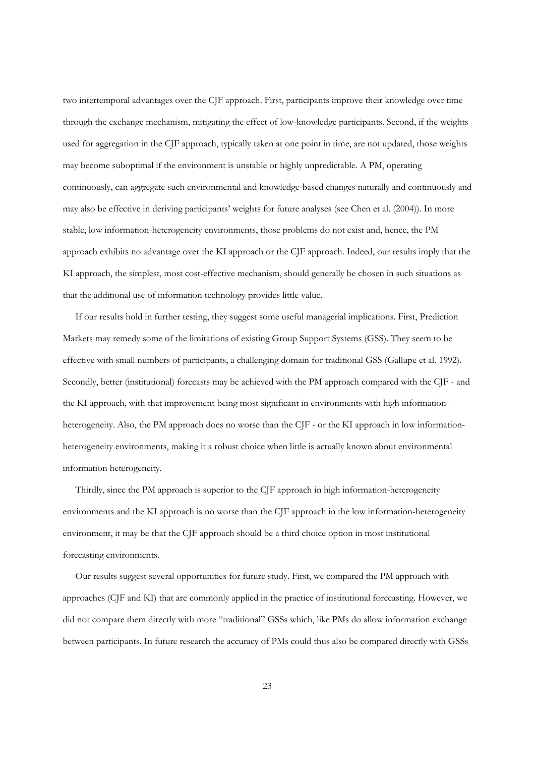two intertemporal advantages over the CJF approach. First, participants improve their knowledge over time through the exchange mechanism, mitigating the effect of low-knowledge participants. Second, if the weights used for aggregation in the CJF approach, typically taken at one point in time, are not updated, those weights may become suboptimal if the environment is unstable or highly unpredictable. A PM, operating continuously, can aggregate such environmental and knowledge-based changes naturally and continuously and may also be effective in deriving participants' weights for future analyses (see Chen et al. (2004)). In more stable, low information-heterogeneity environments, those problems do not exist and, hence, the PM approach exhibits no advantage over the KI approach or the CJF approach. Indeed, our results imply that the KI approach, the simplest, most cost-effective mechanism, should generally be chosen in such situations as that the additional use of information technology provides little value.

If our results hold in further testing, they suggest some useful managerial implications. First, Prediction Markets may remedy some of the limitations of existing Group Support Systems (GSS). They seem to be effective with small numbers of participants, a challenging domain for traditional GSS (Gallupe et al. 1992). Secondly, better (institutional) forecasts may be achieved with the PM approach compared with the CJF - and the KI approach, with that improvement being most significant in environments with high informationheterogeneity. Also, the PM approach does no worse than the CJF - or the KI approach in low informationheterogeneity environments, making it a robust choice when little is actually known about environmental information heterogeneity.

Thirdly, since the PM approach is superior to the CJF approach in high information-heterogeneity environments and the KI approach is no worse than the CJF approach in the low information-heterogeneity environment, it may be that the CJF approach should be a third choice option in most institutional forecasting environments.

Our results suggest several opportunities for future study. First, we compared the PM approach with approaches (CJF and KI) that are commonly applied in the practice of institutional forecasting. However, we did not compare them directly with more "traditional" GSSs which, like PMs do allow information exchange between participants. In future research the accuracy of PMs could thus also be compared directly with GSSs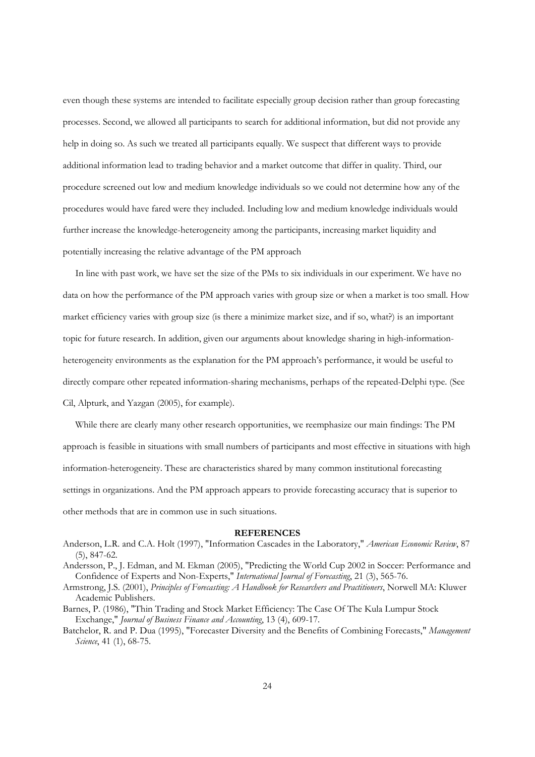even though these systems are intended to facilitate especially group decision rather than group forecasting processes. Second, we allowed all participants to search for additional information, but did not provide any help in doing so. As such we treated all participants equally. We suspect that different ways to provide additional information lead to trading behavior and a market outcome that differ in quality. Third, our procedure screened out low and medium knowledge individuals so we could not determine how any of the procedures would have fared were they included. Including low and medium knowledge individuals would further increase the knowledge-heterogeneity among the participants, increasing market liquidity and potentially increasing the relative advantage of the PM approach

In line with past work, we have set the size of the PMs to six individuals in our experiment. We have no data on how the performance of the PM approach varies with group size or when a market is too small. How market efficiency varies with group size (is there a minimize market size, and if so, what?) is an important topic for future research. In addition, given our arguments about knowledge sharing in high-informationheterogeneity environments as the explanation for the PM approach's performance, it would be useful to directly compare other repeated information-sharing mechanisms, perhaps of the repeated-Delphi type. (See Cil, Alpturk, and Yazgan (2005), for example).

While there are clearly many other research opportunities, we reemphasize our main findings: The PM approach is feasible in situations with small numbers of participants and most effective in situations with high information-heterogeneity. These are characteristics shared by many common institutional forecasting settings in organizations. And the PM approach appears to provide forecasting accuracy that is superior to other methods that are in common use in such situations.

#### **REFERENCES**

- Barnes, P. (1986), "Thin Trading and Stock Market Efficiency: The Case Of The Kula Lumpur Stock Exchange," *Journal of Business Finance and Accounting*, 13 (4), 609-17.
- Batchelor, R. and P. Dua (1995), "Forecaster Diversity and the Benefits of Combining Forecasts," *Management Science*, 41 (1), 68-75.

Anderson, L.R. and C.A. Holt (1997), "Information Cascades in the Laboratory," *American Economic Review*, 87 (5), 847-62.

Andersson, P., J. Edman, and M. Ekman (2005), "Predicting the World Cup 2002 in Soccer: Performance and Confidence of Experts and Non-Experts," *International Journal of Forecasting*, 21 (3), 565-76.

Armstrong, J.S. (2001), *Principles of Forecasting: A Handbook for Researchers and Practitioners*, Norwell MA: Kluwer Academic Publishers.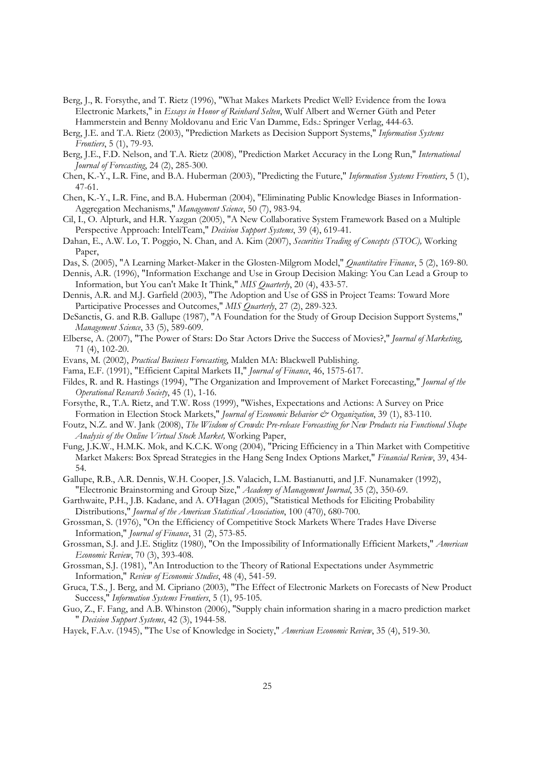- Berg, J., R. Forsythe, and T. Rietz (1996), "What Makes Markets Predict Well? Evidence from the Iowa Electronic Markets," in *Essays in Honor of Reinhard Selten*, Wulf Albert and Werner Güth and Peter Hammerstein and Benny Moldovanu and Eric Van Damme, Eds.: Springer Verlag, 444-63.
- Berg, J.E. and T.A. Rietz (2003), "Prediction Markets as Decision Support Systems," *Information Systems Frontiers*, 5 (1), 79-93.
- Berg, J.E., F.D. Nelson, and T.A. Rietz (2008), "Prediction Market Accuracy in the Long Run," *International Journal of Forecasting*, 24 (2), 285-300.
- Chen, K.-Y., L.R. Fine, and B.A. Huberman (2003), "Predicting the Future," *Information Systems Frontiers*, 5 (1), 47-61.
- Chen, K.-Y., L.R. Fine, and B.A. Huberman (2004), "Eliminating Public Knowledge Biases in Information-Aggregation Mechanisms," *Management Science*, 50 (7), 983-94.
- Cil, I., O. Alpturk, and H.R. Yazgan (2005), "A New Collaborative System Framework Based on a Multiple Perspective Approach: InteliTeam," *Decision Support Systems*, 39 (4), 619-41.
- Dahan, E., A.W. Lo, T. Poggio, N. Chan, and A. Kim (2007), *Securities Trading of Concepts (STOC),* Working Paper,
- Das, S. (2005), "A Learning Market-Maker in the Glosten-Milgrom Model," *Quantitative Finance*, 5 (2), 169-80.
- Dennis, A.R. (1996), "Information Exchange and Use in Group Decision Making: You Can Lead a Group to Information, but You can't Make It Think," *MIS Quarterly*, 20 (4), 433-57.
- Dennis, A.R. and M.J. Garfield (2003), "The Adoption and Use of GSS in Project Teams: Toward More Participative Processes and Outcomes," *MIS Quarterly*, 27 (2), 289-323.
- DeSanctis, G. and R.B. Gallupe (1987), "A Foundation for the Study of Group Decision Support Systems," *Management Science*, 33 (5), 589-609.
- Elberse, A. (2007), "The Power of Stars: Do Star Actors Drive the Success of Movies?," *Journal of Marketing*, 71 (4), 102-20.
- Evans, M. (2002), *Practical Business Forecasting*, Malden MA: Blackwell Publishing.
- Fama, E.F. (1991), "Efficient Capital Markets II," *Journal of Finance*, 46, 1575-617.
- Fildes, R. and R. Hastings (1994), "The Organization and Improvement of Market Forecasting," *Journal of the Operational Research Society*, 45 (1), 1-16.
- Forsythe, R., T.A. Rietz, and T.W. Ross (1999), "Wishes, Expectations and Actions: A Survey on Price Formation in Election Stock Markets," *Journal of Economic Behavior & Organization*, 39 (1), 83-110.
- Foutz, N.Z. and W. Jank (2008), *The Wisdom of Crowds: Pre-release Forecasting for New Products via Functional Shape Analysis of the Online Virtual Stock Market,* Working Paper,
- Fung, J.K.W., H.M.K. Mok, and K.C.K. Wong (2004), "Pricing Efficiency in a Thin Market with Competitive Market Makers: Box Spread Strategies in the Hang Seng Index Options Market," *Financial Review*, 39, 434- 54.
- Gallupe, R.B., A.R. Dennis, W.H. Cooper, J.S. Valacich, L.M. Bastianutti, and J.F. Nunamaker (1992), "Electronic Brainstorming and Group Size," *Academy of Management Journal*, 35 (2), 350-69.
- Garthwaite, P.H., J.B. Kadane, and A. O'Hagan (2005), "Statistical Methods for Eliciting Probability Distributions," *Journal of the American Statistical Association*, 100 (470), 680-700.
- Grossman, S. (1976), "On the Efficiency of Competitive Stock Markets Where Trades Have Diverse Information," *Journal of Finance*, 31 (2), 573-85.
- Grossman, S.J. and J.E. Stiglitz (1980), "On the Impossibility of Informationally Efficient Markets," *American Economic Review*, 70 (3), 393-408.
- Grossman, S.J. (1981), "An Introduction to the Theory of Rational Expectations under Asymmetric Information," *Review of Economic Studies*, 48 (4), 541-59.
- Gruca, T.S., J. Berg, and M. Cipriano (2003), "The Effect of Electronic Markets on Forecasts of New Product Success," *Information Systems Frontiers*, 5 (1), 95-105.
- Guo, Z., F. Fang, and A.B. Whinston (2006), "Supply chain information sharing in a macro prediction market " *Decision Support Systems*, 42 (3), 1944-58.
- Hayek, F.A.v. (1945), "The Use of Knowledge in Society," *American Economic Review*, 35 (4), 519-30.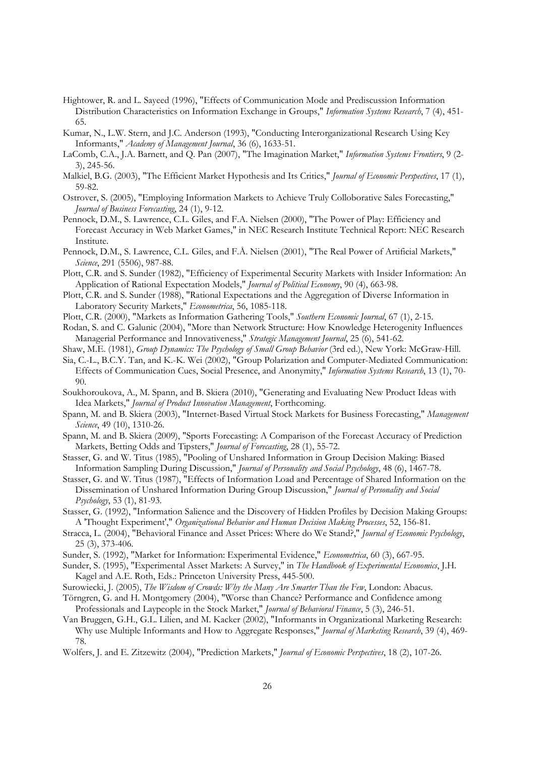- Hightower, R. and L. Sayeed (1996), "Effects of Communication Mode and Prediscussion Information Distribution Characteristics on Information Exchange in Groups," *Information Systems Research*, 7 (4), 451- 65.
- Kumar, N., L.W. Stern, and J.C. Anderson (1993), "Conducting Interorganizational Research Using Key Informants," *Academy of Management Journal*, 36 (6), 1633-51.
- LaComb, C.A., J.A. Barnett, and Q. Pan (2007), "The Imagination Market," *Information Systems Frontiers*, 9 (2- 3), 245-56.
- Malkiel, B.G. (2003), "The Efficient Market Hypothesis and Its Critics," *Journal of Economic Perspectives*, 17 (1), 59-82.
- Ostrover, S. (2005), "Employing Information Markets to Achieve Truly Colloborative Sales Forecasting," *Journal of Business Forecasting*, 24 (1), 9-12.
- Pennock, D.M., S. Lawrence, C.L. Giles, and F.A. Nielsen (2000), "The Power of Play: Efficiency and Forecast Accuracy in Web Market Games," in NEC Research Institute Technical Report: NEC Research Institute.
- Pennock, D.M., S. Lawrence, C.L. Giles, and F.Å. Nielsen (2001), "The Real Power of Artificial Markets," *Science*, 291 (5506), 987-88.
- Plott, C.R. and S. Sunder (1982), "Efficiency of Experimental Security Markets with Insider Information: An Application of Rational Expectation Models," *Journal of Political Economy*, 90 (4), 663-98.
- Plott, C.R. and S. Sunder (1988), "Rational Expectations and the Aggregation of Diverse Information in Laboratory Security Markets," *Econometrica*, 56, 1085-118.
- Plott, C.R. (2000), "Markets as Information Gathering Tools," *Southern Economic Journal*, 67 (1), 2-15.
- Rodan, S. and C. Galunic (2004), "More than Network Structure: How Knowledge Heterogenity Influences Managerial Performance and Innovativeness," *Strategic Management Journal*, 25 (6), 541-62.
- Shaw, M.E. (1981), *Group Dynamics: The Psychology of Small Group Behavior* (3rd ed.), New York: McGraw-Hill.
- Sia, C.-L., B.C.Y. Tan, and K.-K. Wei (2002), "Group Polarization and Computer-Mediated Communication: Effects of Communication Cues, Social Presence, and Anonymity," *Information Systems Research*, 13 (1), 70- 90.
- Soukhoroukova, A., M. Spann, and B. Skiera (2010), "Generating and Evaluating New Product Ideas with Idea Markets," *Journal of Product Innovation Management*, Forthcoming.
- Spann, M. and B. Skiera (2003), "Internet-Based Virtual Stock Markets for Business Forecasting," *Management Science*, 49 (10), 1310-26.
- Spann, M. and B. Skiera (2009), "Sports Forecasting: A Comparison of the Forecast Accuracy of Prediction Markets, Betting Odds and Tipsters," *Journal of Forecasting*, 28 (1), 55-72.
- Stasser, G. and W. Titus (1985), "Pooling of Unshared Information in Group Decision Making: Biased Information Sampling During Discussion," *Journal of Personality and Social Psychology*, 48 (6), 1467-78.
- Stasser, G. and W. Titus (1987), "Effects of Information Load and Percentage of Shared Information on the Dissemination of Unshared Information During Group Discussion," *Journal of Personality and Social Psychology*, 53 (1), 81-93.
- Stasser, G. (1992), "Information Salience and the Discovery of Hidden Profiles by Decision Making Groups: A 'Thought Experiment'," *Organizational Behavior and Human Decision Making Processes*, 52, 156-81.
- Stracca, L. (2004), "Behavioral Finance and Asset Prices: Where do We Stand?," *Journal of Economic Psychology*, 25 (3), 373-406.
- Sunder, S. (1992), "Market for Information: Experimental Evidence," *Econometrica*, 60 (3), 667-95.
- Sunder, S. (1995), "Experimental Asset Markets: A Survey," in *The Handbook of Experimental Economics*, J.H. Kagel and A.E. Roth, Eds.: Princeton University Press, 445-500.
- Surowiecki, J. (2005), *The Wisdom of Crowds: Why the Many Are Smarter Than the Few*, London: Abacus.
- Törngren, G. and H. Montgomery (2004), "Worse than Chance? Performance and Confidence among Professionals and Laypeople in the Stock Market," *Journal of Behavioral Finance*, 5 (3), 246-51.
- Van Bruggen, G.H., G.L. Lilien, and M. Kacker (2002), "Informants in Organizational Marketing Research: Why use Multiple Informants and How to Aggregate Responses," *Journal of Marketing Research*, 39 (4), 469- 78.
- Wolfers, J. and E. Zitzewitz (2004), "Prediction Markets," *Journal of Economic Perspectives*, 18 (2), 107-26.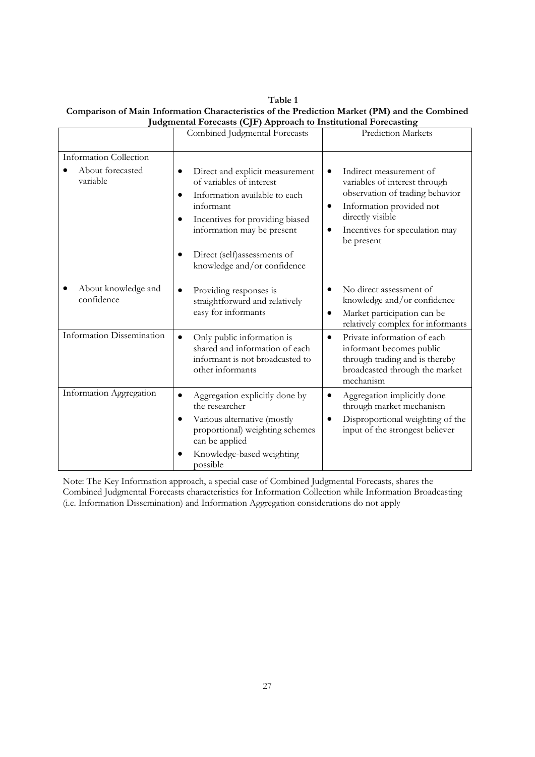|                                   | Judgmental Forecasts (CJF) Approach to Institutional Forecasting                                                                                                                                                                                           |                                                                                                                                                                                                       |
|-----------------------------------|------------------------------------------------------------------------------------------------------------------------------------------------------------------------------------------------------------------------------------------------------------|-------------------------------------------------------------------------------------------------------------------------------------------------------------------------------------------------------|
|                                   | Combined Judgmental Forecasts                                                                                                                                                                                                                              | Prediction Markets                                                                                                                                                                                    |
| Information Collection            |                                                                                                                                                                                                                                                            |                                                                                                                                                                                                       |
| About forecasted<br>variable      | Direct and explicit measurement<br>of variables of interest<br>Information available to each<br>$\bullet$<br>informant<br>Incentives for providing biased<br>٠<br>information may be present<br>Direct (self)assessments of<br>knowledge and/or confidence | Indirect measurement of<br>٠<br>variables of interest through<br>observation of trading behavior<br>Information provided not<br>٠<br>directly visible<br>Incentives for speculation may<br>be present |
|                                   |                                                                                                                                                                                                                                                            |                                                                                                                                                                                                       |
| About knowledge and<br>confidence | Providing responses is<br>straightforward and relatively<br>easy for informants                                                                                                                                                                            | No direct assessment of<br>knowledge and/or confidence<br>Market participation can be<br>relatively complex for informants                                                                            |
| Information Dissemination         | Only public information is<br>$\bullet$<br>shared and information of each<br>informant is not broadcasted to<br>other informants                                                                                                                           | Private information of each<br>$\bullet$<br>informant becomes public<br>through trading and is thereby<br>broadcasted through the market<br>mechanism                                                 |
| Information Aggregation           | Aggregation explicitly done by<br>$\bullet$<br>the researcher                                                                                                                                                                                              | Aggregation implicitly done<br>$\bullet$<br>through market mechanism                                                                                                                                  |
|                                   | Various alternative (mostly<br>٠<br>proportional) weighting schemes<br>can be applied<br>Knowledge-based weighting<br>possible                                                                                                                             | Disproportional weighting of the<br>input of the strongest believer                                                                                                                                   |

**Table 1 Comparison of Main Information Characteristics of the Prediction Market (PM) and the Combined Judgmental Forecasts (CJF) Approach to Institutional Forecasting** 

Note: The Key Information approach, a special case of Combined Judgmental Forecasts, shares the Combined Judgmental Forecasts characteristics for Information Collection while Information Broadcasting (i.e. Information Dissemination) and Information Aggregation considerations do not apply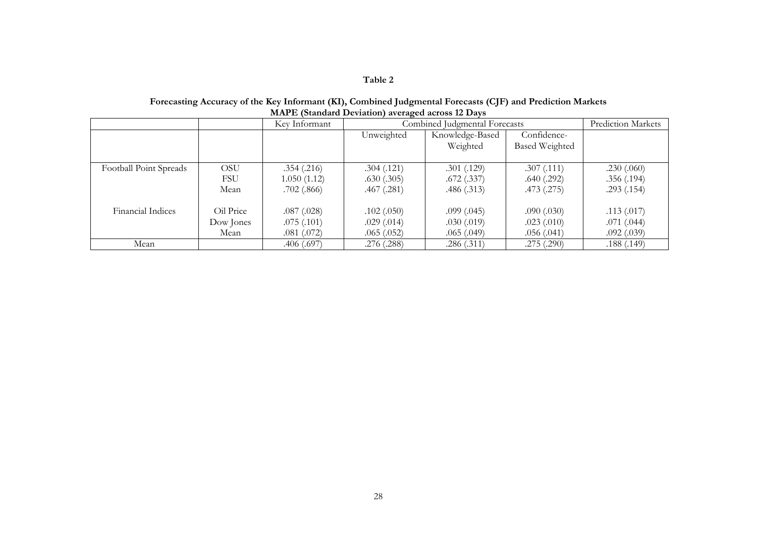#### **Table 2**

|                          |                                  |                                         | <b>MAPE</b> (Standard Deviation) averaged across 12 Days |                                        |                                        |                                             |
|--------------------------|----------------------------------|-----------------------------------------|----------------------------------------------------------|----------------------------------------|----------------------------------------|---------------------------------------------|
|                          |                                  | Key Informant                           |                                                          | Combined Judgmental Forecasts          |                                        | <b>Prediction Markets</b>                   |
|                          |                                  |                                         | Unweighted                                               | Knowledge-Based<br>Weighted            | Confidence-<br><b>Based Weighted</b>   |                                             |
| Football Point Spreads   | <b>OSU</b><br><b>FSU</b><br>Mean | .354(.216)<br>1.050(1.12)<br>.702(.866) | .304(.121)<br>.630(.305)<br>.467(.281)                   | .301(.129)<br>.672(.337)<br>.486(.313) | .307(.111)<br>.640(.292)<br>.473(.275) | .230(.060)<br>.356(.194)<br>.293(.154)      |
| <b>Financial Indices</b> | Oil Price<br>Dow Jones<br>Mean   | .087(.028)<br>.075(.101)<br>.081(.072)  | .102(.050)<br>.029(.014)<br>.065(.052)                   | .099(.045)<br>.030(.019)<br>.065(.049) | .090(.030)<br>.023(.010)<br>.056(.041) | .113(.017)<br>$.071$ $(.044)$<br>.092(.039) |
| Mean                     |                                  | .406(.697)                              | .276(.288)                                               | .286(.311)                             | .275(.290)                             | .188(.149)                                  |

# **Forecasting Accuracy of the Key Informant (KI), Combined Judgmental Forecasts (CJF) and Prediction Markets**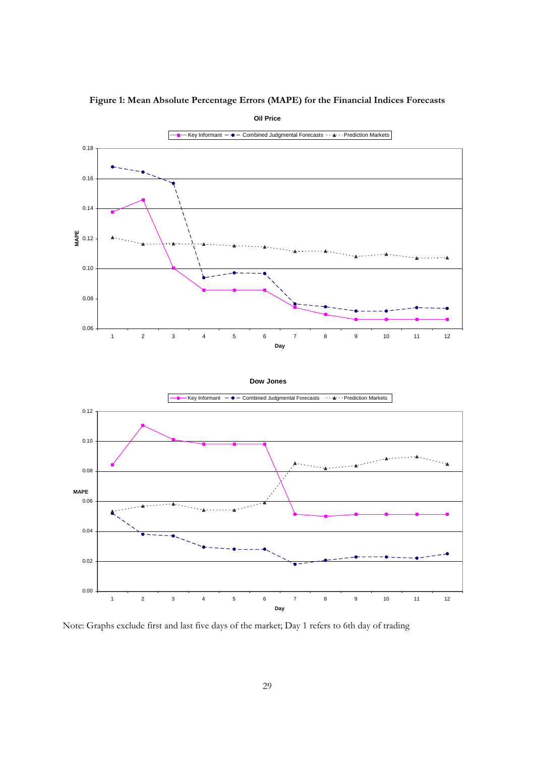

**Figure 1: Mean Absolute Percentage Errors (MAPE) for the Financial Indices Forecasts** 

Note: Graphs exclude first and last five days of the market; Day 1 refers to 6th day of trading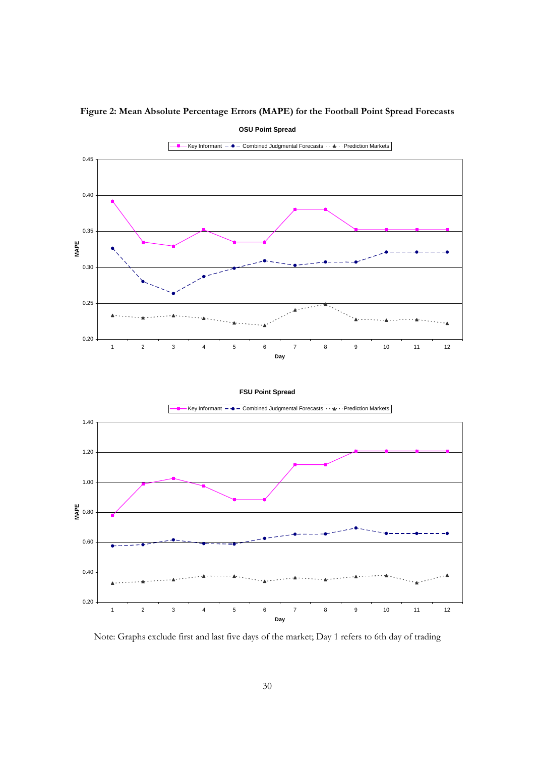

**Figure 2: Mean Absolute Percentage Errors (MAPE) for the Football Point Spread Forecasts** 



Note: Graphs exclude first and last five days of the market; Day 1 refers to 6th day of trading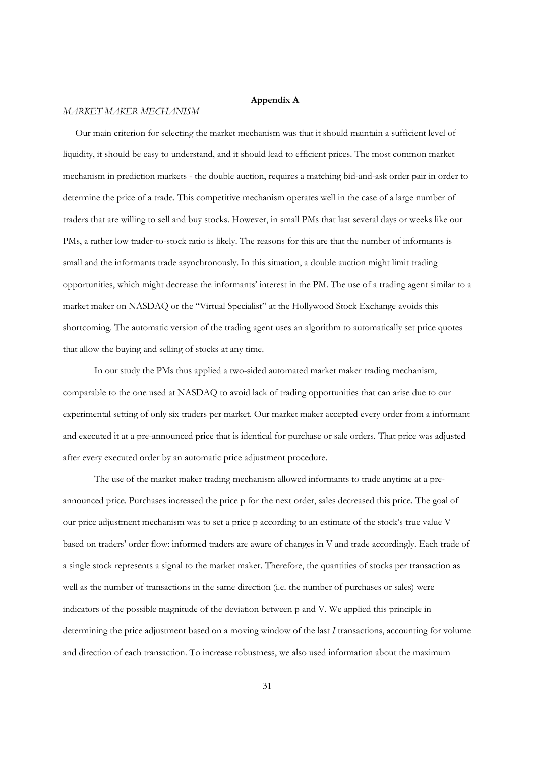#### **Appendix A**

#### *MARKET MAKER MECHANISM*

Our main criterion for selecting the market mechanism was that it should maintain a sufficient level of liquidity, it should be easy to understand, and it should lead to efficient prices. The most common market mechanism in prediction markets - the double auction, requires a matching bid-and-ask order pair in order to determine the price of a trade. This competitive mechanism operates well in the case of a large number of traders that are willing to sell and buy stocks. However, in small PMs that last several days or weeks like our PMs, a rather low trader-to-stock ratio is likely. The reasons for this are that the number of informants is small and the informants trade asynchronously. In this situation, a double auction might limit trading opportunities, which might decrease the informants' interest in the PM. The use of a trading agent similar to a market maker on NASDAQ or the "Virtual Specialist" at the Hollywood Stock Exchange avoids this shortcoming. The automatic version of the trading agent uses an algorithm to automatically set price quotes that allow the buying and selling of stocks at any time.

In our study the PMs thus applied a two-sided automated market maker trading mechanism, comparable to the one used at NASDAQ to avoid lack of trading opportunities that can arise due to our experimental setting of only six traders per market. Our market maker accepted every order from a informant and executed it at a pre-announced price that is identical for purchase or sale orders. That price was adjusted after every executed order by an automatic price adjustment procedure.

The use of the market maker trading mechanism allowed informants to trade anytime at a preannounced price. Purchases increased the price p for the next order, sales decreased this price. The goal of our price adjustment mechanism was to set a price p according to an estimate of the stock's true value V based on traders' order flow: informed traders are aware of changes in V and trade accordingly. Each trade of a single stock represents a signal to the market maker. Therefore, the quantities of stocks per transaction as well as the number of transactions in the same direction (i.e. the number of purchases or sales) were indicators of the possible magnitude of the deviation between p and V. We applied this principle in determining the price adjustment based on a moving window of the last *I* transactions, accounting for volume and direction of each transaction. To increase robustness, we also used information about the maximum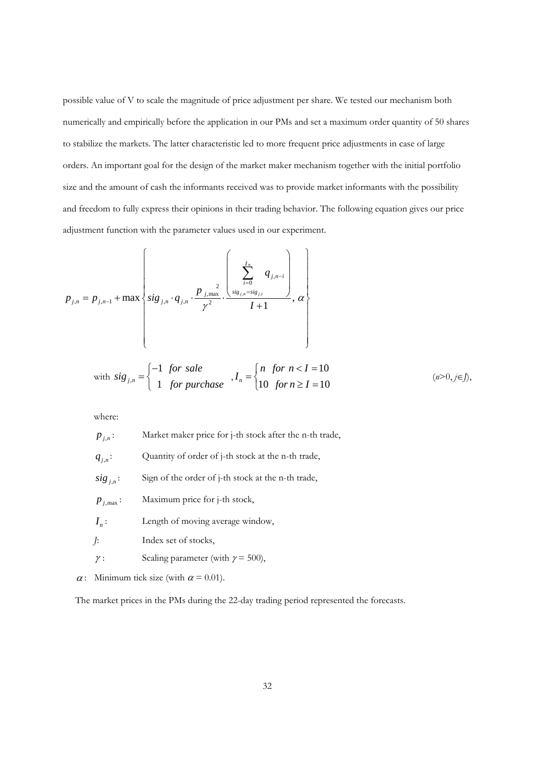possible value of V to scale the magnitude of price adjustment per share. We tested our mechanism both numerically and empirically before the application in our PMs and set a maximum order quantity of 50 shares to stabilize the markets. The latter characteristic led to more frequent price adjustments in case of large orders. An important goal for the design of the market maker mechanism together with the initial portfolio size and the amount of cash the informants received was to provide market informants with the possibility and freedom to fully express their opinions in their trading behavior. The following equation gives our price adjustment function with the parameter values used in our experiment.

$$
p_{j,n} = p_{j,n-1} + \max \left\{ sig_{j,n} \cdot q_{j,n} \cdot \frac{p_{j,\max}^2}{\gamma^2} \cdot \frac{\left(\sum_{i=0}^{I_n} q_{j,n-i}\right)}{I+1}, \alpha \right\}
$$
  
with 
$$
sig_{j,n} = \left\{\begin{matrix} -1 \quad \text{for sale} \\ 1 \quad \text{for purchase} \end{matrix} , I_n = \begin{cases} n \quad \text{for } n < I = 10 \\ 10 \quad \text{for } n \ge I = 10 \end{cases} \quad (n > 0, j \in J),
$$

 $\binom{n}{10}$  *for*  $n \ge I = 10$ 

where:

 $p_{i,n}$ : Market maker price for j-th stock after the n-th trade,

*q<sub>in</sub>*: Quantity of order of j-th stock at the n-th trade,

 $sig_{i,n}$ : Sign of the order of j-th stock at the n-th trade,

 $p_{i,\text{max}}$ : Maximum price for j-th stock,

*I<sub>n</sub>*: Length of moving average window,

*J*: Index set of stocks,

 $\overline{\mathfrak{l}}$ 

$$
\gamma
$$
: Scaling parameter (with  $\gamma = 500$ ),

 $\alpha$ : Minimum tick size (with  $\alpha = 0.01$ ).

The market prices in the PMs during the 22-day trading period represented the forecasts.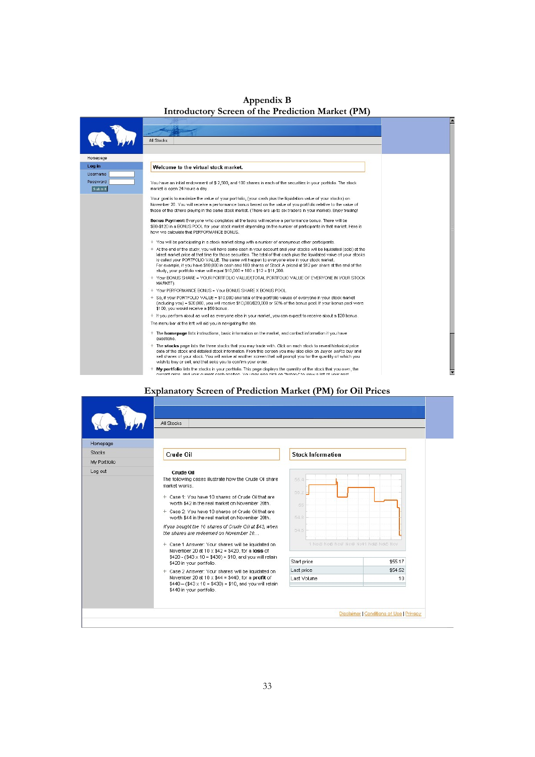**Appendix B Introductory Screen of the Prediction Market (PM)** 



#### **Explanatory Screen of Prediction Market (PM) for Oil Prices**